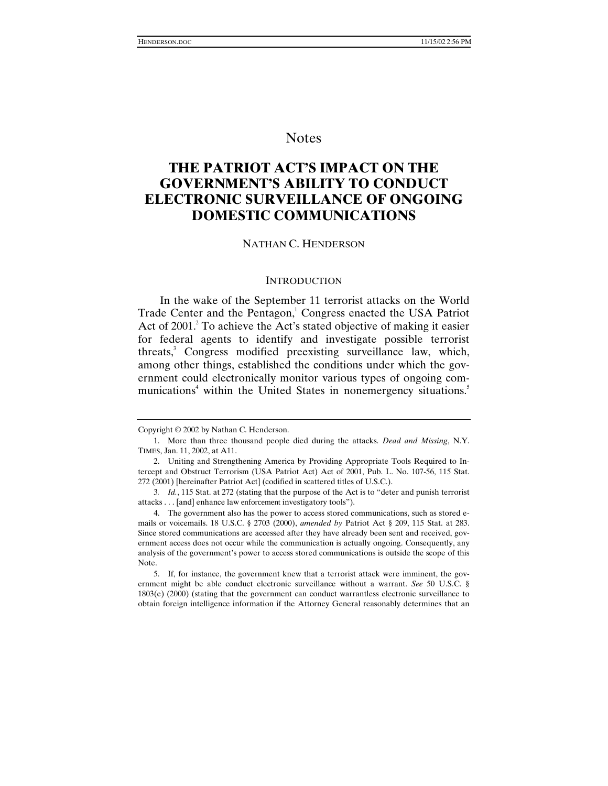# Notes

# **THE PATRIOT ACT'S IMPACT ON THE GOVERNMENT'S ABILITY TO CONDUCT ELECTRONIC SURVEILLANCE OF ONGOING DOMESTIC COMMUNICATIONS**

#### NATHAN C. HENDERSON

#### INTRODUCTION

In the wake of the September 11 terrorist attacks on the World Trade Center and the Pentagon,<sup>1</sup> Congress enacted the USA Patriot Act of 2001.<sup>2</sup> To achieve the Act's stated objective of making it easier for federal agents to identify and investigate possible terrorist threats,<sup>3</sup> Congress modified preexisting surveillance law, which, among other things, established the conditions under which the government could electronically monitor various types of ongoing communications<sup>4</sup> within the United States in nonemergency situations.<sup>5</sup>

Copyright © 2002 by Nathan C. Henderson.

<sup>1.</sup> More than three thousand people died during the attacks. *Dead and Missing*, N.Y. TIMES, Jan. 11, 2002, at A11.

<sup>2.</sup> Uniting and Strengthening America by Providing Appropriate Tools Required to Intercept and Obstruct Terrorism (USA Patriot Act) Act of 2001, Pub. L. No. 107-56, 115 Stat. 272 (2001) [hereinafter Patriot Act] (codified in scattered titles of U.S.C.).

<sup>3</sup>*. Id.*, 115 Stat. at 272 (stating that the purpose of the Act is to "deter and punish terrorist attacks . . . [and] enhance law enforcement investigatory tools").

<sup>4.</sup> The government also has the power to access stored communications, such as stored emails or voicemails. 18 U.S.C. § 2703 (2000), *amended by* Patriot Act § 209, 115 Stat. at 283. Since stored communications are accessed after they have already been sent and received, government access does not occur while the communication is actually ongoing. Consequently, any analysis of the government's power to access stored communications is outside the scope of this Note.

<sup>5.</sup> If, for instance, the government knew that a terrorist attack were imminent, the government might be able conduct electronic surveillance without a warrant. *See* 50 U.S.C. § 1803(e) (2000) (stating that the government can conduct warrantless electronic surveillance to obtain foreign intelligence information if the Attorney General reasonably determines that an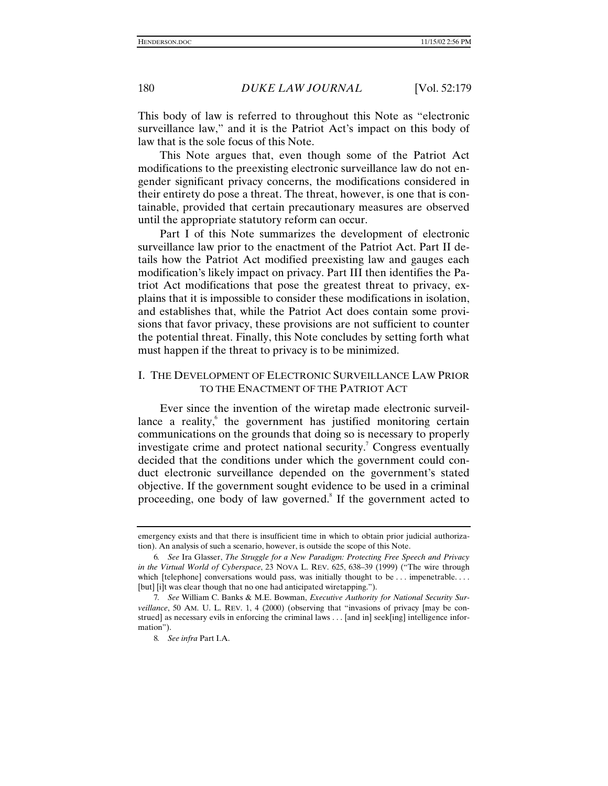This body of law is referred to throughout this Note as "electronic surveillance law," and it is the Patriot Act's impact on this body of law that is the sole focus of this Note.

This Note argues that, even though some of the Patriot Act modifications to the preexisting electronic surveillance law do not engender significant privacy concerns, the modifications considered in their entirety do pose a threat. The threat, however, is one that is containable, provided that certain precautionary measures are observed until the appropriate statutory reform can occur.

Part I of this Note summarizes the development of electronic surveillance law prior to the enactment of the Patriot Act. Part II details how the Patriot Act modified preexisting law and gauges each modification's likely impact on privacy. Part III then identifies the Patriot Act modifications that pose the greatest threat to privacy, explains that it is impossible to consider these modifications in isolation, and establishes that, while the Patriot Act does contain some provisions that favor privacy, these provisions are not sufficient to counter the potential threat. Finally, this Note concludes by setting forth what must happen if the threat to privacy is to be minimized.

#### I. THE DEVELOPMENT OF ELECTRONIC SURVEILLANCE LAW PRIOR TO THE ENACTMENT OF THE PATRIOT ACT

Ever since the invention of the wiretap made electronic surveillance a reality,<sup>6</sup> the government has justified monitoring certain communications on the grounds that doing so is necessary to properly investigate crime and protect national security.<sup>7</sup> Congress eventually decided that the conditions under which the government could conduct electronic surveillance depended on the government's stated objective. If the government sought evidence to be used in a criminal proceeding, one body of law governed.<sup>8</sup> If the government acted to

emergency exists and that there is insufficient time in which to obtain prior judicial authorization). An analysis of such a scenario, however, is outside the scope of this Note.

<sup>6</sup>*. See* Ira Glasser, *The Struggle for a New Paradigm: Protecting Free Speech and Privacy in the Virtual World of Cyberspace*, 23 NOVA L. REV. 625, 638–39 (1999) ("The wire through which [telephone] conversations would pass, was initially thought to be . . . impenetrable. . . . [but] [i]t was clear though that no one had anticipated wiretapping.").

<sup>7</sup>*. See* William C. Banks & M.E. Bowman, *Executive Authority for National Security Surveillance*, 50 AM. U. L. REV. 1, 4 (2000) (observing that "invasions of privacy [may be construed] as necessary evils in enforcing the criminal laws . . . [and in] seek[ing] intelligence information").

<sup>8</sup>*. See infra* Part I.A.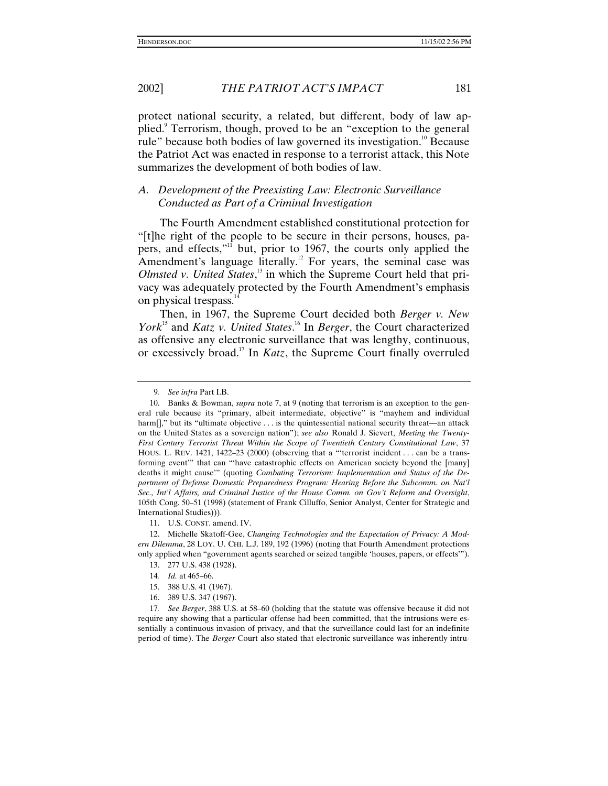protect national security, a related, but different, body of law applied.<sup>9</sup> Terrorism, though, proved to be an "exception to the general rule" because both bodies of law governed its investigation.<sup>10</sup> Because the Patriot Act was enacted in response to a terrorist attack, this Note summarizes the development of both bodies of law.

# *A. Development of the Preexisting Law: Electronic Surveillance Conducted as Part of a Criminal Investigation*

The Fourth Amendment established constitutional protection for "[t]he right of the people to be secure in their persons, houses, papers, and effects,"<sup>11</sup> but, prior to 1967, the courts only applied the Amendment's language literally.<sup>12</sup> For years, the seminal case was *Olmsted v. United States*, 13 in which the Supreme Court held that privacy was adequately protected by the Fourth Amendment's emphasis on physical trespass.<sup>14</sup>

Then, in 1967, the Supreme Court decided both *Berger v. New York*15 and *Katz v. United States*. 16 In *Berger*, the Court characterized as offensive any electronic surveillance that was lengthy, continuous, or excessively broad.17 In *Katz*, the Supreme Court finally overruled

11. U.S. CONST. amend. IV.

12. Michelle Skatoff-Gee, *Changing Technologies and the Expectation of Privacy: A Modern Dilemma*, 28 LOY. U. CHI. L.J. 189, 192 (1996) (noting that Fourth Amendment protections only applied when "government agents searched or seized tangible 'houses, papers, or effects'").

- 15. 388 U.S. 41 (1967).
- 16. 389 U.S. 347 (1967).

17*. See Berger*, 388 U.S. at 58–60 (holding that the statute was offensive because it did not require any showing that a particular offense had been committed, that the intrusions were essentially a continuous invasion of privacy, and that the surveillance could last for an indefinite period of time). The *Berger* Court also stated that electronic surveillance was inherently intru-

<sup>9</sup>*. See infra* Part I.B.

<sup>10.</sup> Banks & Bowman, *supra* note 7, at 9 (noting that terrorism is an exception to the general rule because its "primary, albeit intermediate, objective" is "mayhem and individual harm[]," but its "ultimate objective . . . is the quintessential national security threat—an attack on the United States as a sovereign nation"); *see also* Ronald J. Sievert, *Meeting the Twenty-First Century Terrorist Threat Within the Scope of Twentieth Century Constitutional Law*, 37 HOUS. L. REV. 1421, 1422–23 (2000) (observing that a "'terrorist incident . . . can be a transforming event'" that can "'have catastrophic effects on American society beyond the [many] deaths it might cause'" (quoting *Combating Terrorism: Implementation and Status of the Department of Defense Domestic Preparedness Program: Hearing Before the Subcomm. on Nat'l Sec., Int'l Affairs, and Criminal Justice of the House Comm. on Gov't Reform and Oversight*, 105th Cong. 50–51 (1998) (statement of Frank Cilluffo, Senior Analyst, Center for Strategic and International Studies))).

<sup>13. 277</sup> U.S. 438 (1928).

<sup>14</sup>*. Id.* at 465–66.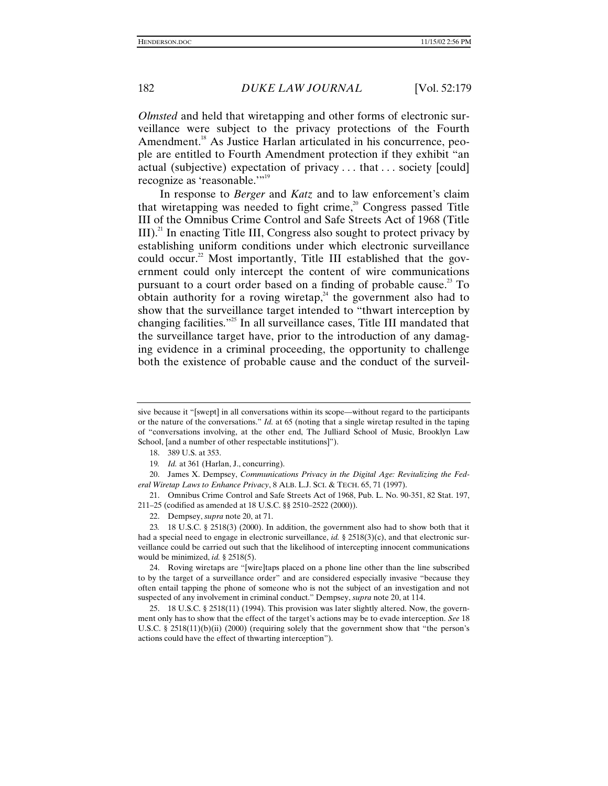*Olmsted* and held that wiretapping and other forms of electronic surveillance were subject to the privacy protections of the Fourth Amendment.<sup>18</sup> As Justice Harlan articulated in his concurrence, people are entitled to Fourth Amendment protection if they exhibit "an actual (subjective) expectation of privacy . . . that . . . society [could] recognize as 'reasonable.'"<sup>19</sup>

In response to *Berger* and *Katz* and to law enforcement's claim that wiretapping was needed to fight crime, $20$  Congress passed Title III of the Omnibus Crime Control and Safe Streets Act of 1968 (Title III).<sup>21</sup> In enacting Title III, Congress also sought to protect privacy by establishing uniform conditions under which electronic surveillance could occur.<sup>22</sup> Most importantly, Title III established that the government could only intercept the content of wire communications pursuant to a court order based on a finding of probable cause.<sup>23</sup> To obtain authority for a roving wiretap,<sup>24</sup> the government also had to show that the surveillance target intended to "thwart interception by changing facilities." 25 In all surveillance cases, Title III mandated that the surveillance target have, prior to the introduction of any damaging evidence in a criminal proceeding, the opportunity to challenge both the existence of probable cause and the conduct of the surveil-

20. James X. Dempsey, *Communications Privacy in the Digital Age: Revitalizing the Federal Wiretap Laws to Enhance Privacy*, 8 ALB. L.J. SCI. & TECH. 65, 71 (1997).

24. Roving wiretaps are "[wire]taps placed on a phone line other than the line subscribed to by the target of a surveillance order" and are considered especially invasive "because they often entail tapping the phone of someone who is not the subject of an investigation and not suspected of any involvement in criminal conduct." Dempsey, *supra* note 20, at 114.

25. 18 U.S.C. § 2518(11) (1994). This provision was later slightly altered. Now, the government only has to show that the effect of the target's actions may be to evade interception. *See* 18 U.S.C. § 2518(11)(b)(ii) (2000) (requiring solely that the government show that "the person's actions could have the effect of thwarting interception").

sive because it "[swept] in all conversations within its scope—without regard to the participants or the nature of the conversations." *Id.* at 65 (noting that a single wiretap resulted in the taping of "conversations involving, at the other end, The Julliard School of Music, Brooklyn Law School, [and a number of other respectable institutions]").

<sup>18. 389</sup> U.S. at 353.

<sup>19</sup>*. Id.* at 361 (Harlan, J., concurring).

<sup>21.</sup> Omnibus Crime Control and Safe Streets Act of 1968, Pub. L. No. 90-351, 82 Stat. 197, 211–25 (codified as amended at 18 U.S.C. §§ 2510–2522 (2000)).

<sup>22.</sup> Dempsey, *supra* note 20, at 71.

<sup>23</sup>*.* 18 U.S.C. § 2518(3) (2000). In addition, the government also had to show both that it had a special need to engage in electronic surveillance, *id.* § 2518(3)(c), and that electronic surveillance could be carried out such that the likelihood of intercepting innocent communications would be minimized, *id.* § 2518(5).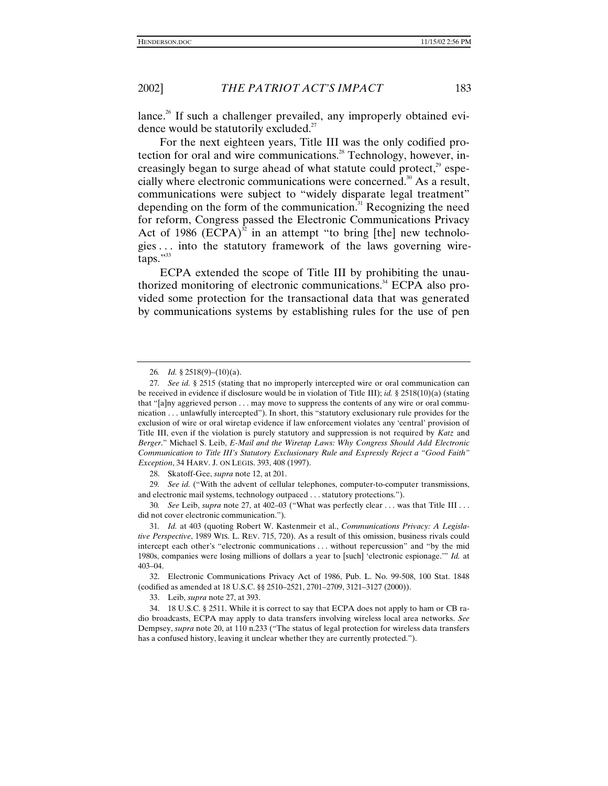lance.<sup>26</sup> If such a challenger prevailed, any improperly obtained evidence would be statutorily excluded.<sup>27</sup>

For the next eighteen years, Title III was the only codified protection for oral and wire communications.<sup>28</sup> Technology, however, increasingly began to surge ahead of what statute could protect,<sup>29</sup> especially where electronic communications were concerned.<sup>30</sup> As a result, communications were subject to "widely disparate legal treatment" depending on the form of the communication.<sup>31</sup> Recognizing the need for reform, Congress passed the Electronic Communications Privacy Act of 1986  $(ECPA)^{32}$  in an attempt "to bring [the] new technologies . . . into the statutory framework of the laws governing wiretaps."<sup>33</sup>

ECPA extended the scope of Title III by prohibiting the unauthorized monitoring of electronic communications.<sup>34</sup> ECPA also provided some protection for the transactional data that was generated by communications systems by establishing rules for the use of pen

28. Skatoff-Gee, *supra* note 12, at 201.

29*. See id.* ("With the advent of cellular telephones, computer-to-computer transmissions, and electronic mail systems, technology outpaced . . . statutory protections.").

30*. See* Leib, *supra* note 27, at 402–03 ("What was perfectly clear . . . was that Title III . . . did not cover electronic communication.").

31*. Id.* at 403 (quoting Robert W. Kastenmeir et al., *Communications Privacy: A Legislative Perspective*, 1989 WIS. L. REV. 715, 720). As a result of this omission, business rivals could intercept each other's "electronic communications . . . without repercussion" and "by the mid 1980s, companies were losing millions of dollars a year to [such] 'electronic espionage.'" *Id.* at 403–04.

32. Electronic Communications Privacy Act of 1986, Pub. L. No. 99-508, 100 Stat. 1848 (codified as amended at 18 U.S.C. §§ 2510–2521, 2701–2709, 3121–3127 (2000)).

<sup>26</sup>*. Id.* § 2518(9)–(10)(a).

<sup>27</sup>*. See id.* § 2515 (stating that no improperly intercepted wire or oral communication can be received in evidence if disclosure would be in violation of Title III); *id.* § 2518(10)(a) (stating that "[a]ny aggrieved person . . . may move to suppress the contents of any wire or oral communication . . . unlawfully intercepted"). In short, this "statutory exclusionary rule provides for the exclusion of wire or oral wiretap evidence if law enforcement violates any 'central' provision of Title III, even if the violation is purely statutory and suppression is not required by *Katz* and *Berger*." Michael S. Leib, *E-Mail and the Wiretap Laws: Why Congress Should Add Electronic Communication to Title III's Statutory Exclusionary Rule and Expressly Reject a "Good Faith" Exception*, 34 HARV. J. ON LEGIS. 393, 408 (1997).

<sup>33.</sup> Leib, *supra* note 27, at 393.

<sup>34. 18</sup> U.S.C. § 2511. While it is correct to say that ECPA does not apply to ham or CB radio broadcasts, ECPA may apply to data transfers involving wireless local area networks. *See* Dempsey, *supra* note 20, at 110 n.233 ("The status of legal protection for wireless data transfers has a confused history, leaving it unclear whether they are currently protected.").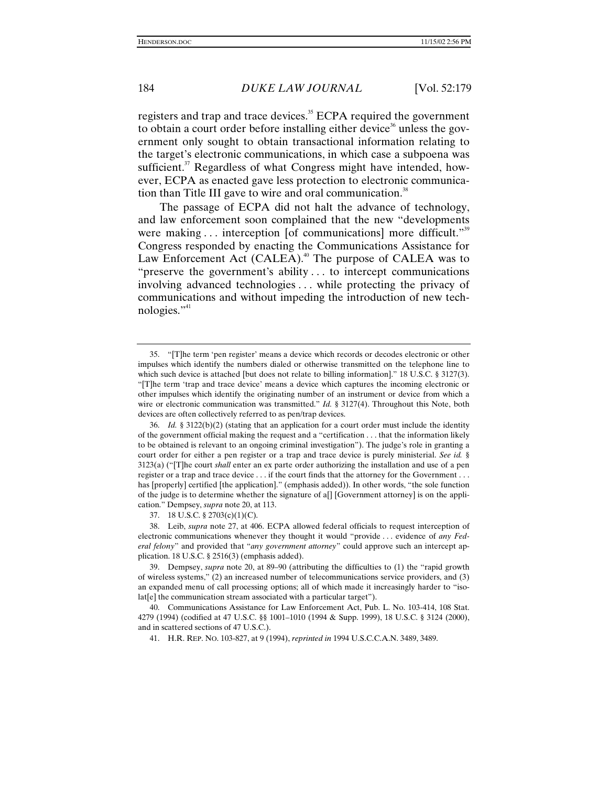registers and trap and trace devices.<sup>35</sup> ECPA required the government to obtain a court order before installing either device<sup>36</sup> unless the government only sought to obtain transactional information relating to the target's electronic communications, in which case a subpoena was sufficient. $37$  Regardless of what Congress might have intended, however, ECPA as enacted gave less protection to electronic communication than Title III gave to wire and oral communication.<sup>38</sup>

The passage of ECPA did not halt the advance of technology, and law enforcement soon complained that the new "developments were making ... interception [of communications] more difficult."<sup>39</sup> Congress responded by enacting the Communications Assistance for Law Enforcement Act (CALEA).<sup>40</sup> The purpose of CALEA was to "preserve the government's ability . . . to intercept communications involving advanced technologies . . . while protecting the privacy of communications and without impeding the introduction of new technologies."<sup>41</sup>

<sup>35.</sup> "[T]he term 'pen register' means a device which records or decodes electronic or other impulses which identify the numbers dialed or otherwise transmitted on the telephone line to which such device is attached [but does not relate to billing information]." 18 U.S.C. § 3127(3). "[T]he term 'trap and trace device' means a device which captures the incoming electronic or other impulses which identify the originating number of an instrument or device from which a wire or electronic communication was transmitted." *Id.* § 3127(4). Throughout this Note, both devices are often collectively referred to as pen/trap devices.

<sup>36.</sup> *Id.* § 3122(b)(2) (stating that an application for a court order must include the identity of the government official making the request and a "certification . . . that the information likely to be obtained is relevant to an ongoing criminal investigation"). The judge's role in granting a court order for either a pen register or a trap and trace device is purely ministerial. *See id.* § 3123(a) ("[T]he court *shall* enter an ex parte order authorizing the installation and use of a pen register or a trap and trace device . . . if the court finds that the attorney for the Government . . . has [properly] certified [the application]." (emphasis added)). In other words, "the sole function of the judge is to determine whether the signature of a[] [Government attorney] is on the application." Dempsey, *supra* note 20, at 113.

<sup>37. 18</sup> U.S.C. § 2703(c)(1)(C).

<sup>38.</sup> Leib, *supra* note 27, at 406. ECPA allowed federal officials to request interception of electronic communications whenever they thought it would "provide . . . evidence of *any Federal felony*" and provided that "*any government attorney*" could approve such an intercept application. 18 U.S.C. § 2516(3) (emphasis added).

<sup>39.</sup> Dempsey, *supra* note 20, at 89–90 (attributing the difficulties to (1) the "rapid growth of wireless systems," (2) an increased number of telecommunications service providers, and (3) an expanded menu of call processing options; all of which made it increasingly harder to "isolat[e] the communication stream associated with a particular target").

<sup>40.</sup> Communications Assistance for Law Enforcement Act, Pub. L. No. 103-414, 108 Stat. 4279 (1994) (codified at 47 U.S.C. §§ 1001–1010 (1994 & Supp. 1999), 18 U.S.C. § 3124 (2000), and in scattered sections of 47 U.S.C.).

<sup>41.</sup> H.R. REP. NO. 103-827, at 9 (1994), *reprinted in* 1994 U.S.C.C.A.N. 3489, 3489.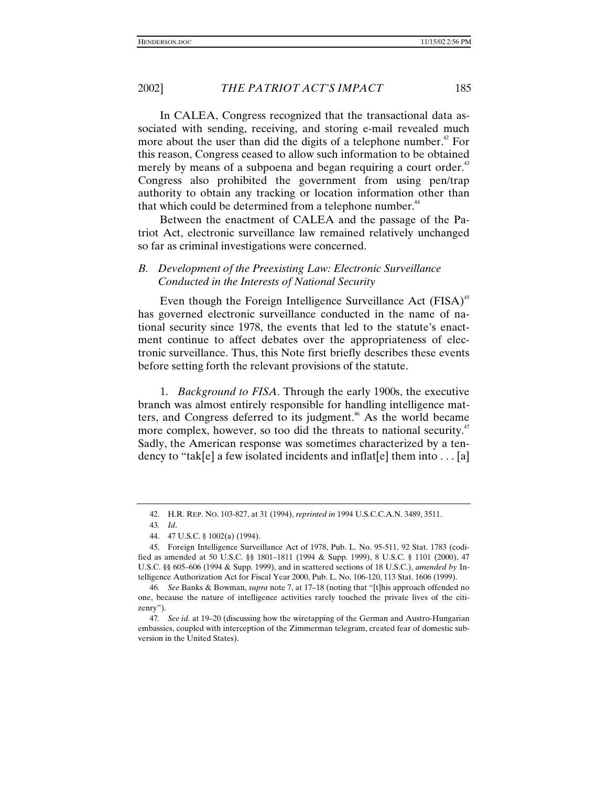In CALEA, Congress recognized that the transactional data associated with sending, receiving, and storing e-mail revealed much more about the user than did the digits of a telephone number.<sup>42</sup> For this reason, Congress ceased to allow such information to be obtained merely by means of a subpoena and began requiring a court order.<sup>43</sup> Congress also prohibited the government from using pen/trap authority to obtain any tracking or location information other than that which could be determined from a telephone number.<sup>44</sup>

Between the enactment of CALEA and the passage of the Patriot Act, electronic surveillance law remained relatively unchanged so far as criminal investigations were concerned.

# *B. Development of the Preexisting Law: Electronic Surveillance Conducted in the Interests of National Security*

Even though the Foreign Intelligence Surveillance Act  $(FISA)^{45}$ has governed electronic surveillance conducted in the name of national security since 1978, the events that led to the statute's enactment continue to affect debates over the appropriateness of electronic surveillance. Thus, this Note first briefly describes these events before setting forth the relevant provisions of the statute.

1. *Background to FISA*. Through the early 1900s, the executive branch was almost entirely responsible for handling intelligence matters, and Congress deferred to its judgment.<sup>46</sup> As the world became more complex, however, so too did the threats to national security.<sup>47</sup> Sadly, the American response was sometimes characterized by a tendency to "tak[e] a few isolated incidents and inflat[e] them into . . . [a]

<sup>42.</sup> H.R. REP. NO. 103-827, at 31 (1994), *reprinted in* 1994 U.S.C.C.A.N. 3489, 3511.

<sup>43</sup>*. Id*.

<sup>44. 47</sup> U.S.C. § 1002(a) (1994).

<sup>45.</sup> Foreign Intelligence Surveillance Act of 1978, Pub. L. No. 95-511, 92 Stat. 1783 (codified as amended at 50 U.S.C. §§ 1801–1811 (1994 & Supp. 1999), 8 U.S.C. § 1101 (2000), 47 U.S.C. §§ 605–606 (1994 & Supp. 1999), and in scattered sections of 18 U.S.C.), *amended by* Intelligence Authorization Act for Fiscal Year 2000, Pub. L. No. 106-120, 113 Stat. 1606 (1999).

<sup>46</sup>*. See* Banks & Bowman, *supra* note 7, at 17–18 (noting that "[t]his approach offended no one, because the nature of intelligence activities rarely touched the private lives of the citizenry").

<sup>47</sup>*. See id.* at 19–20 (discussing how the wiretapping of the German and Austro-Hungarian embassies, coupled with interception of the Zimmerman telegram, created fear of domestic subversion in the United States).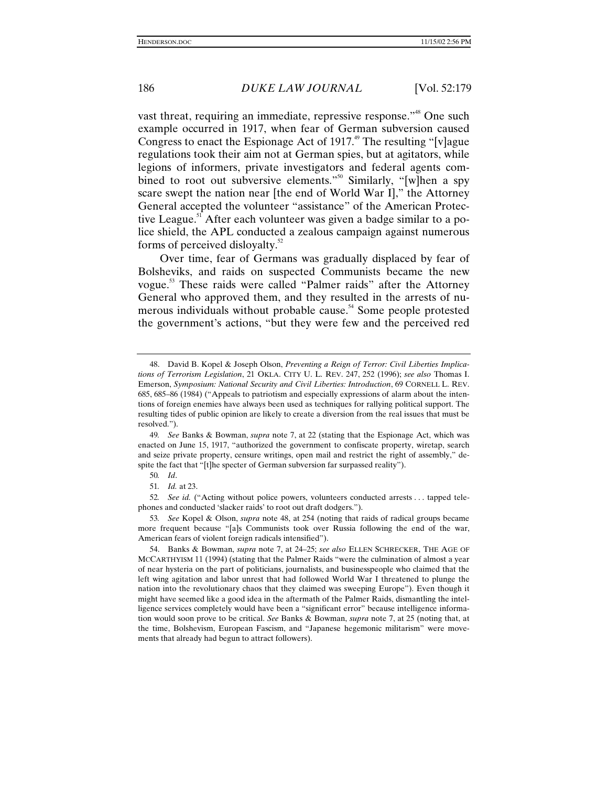vast threat, requiring an immediate, repressive response."<sup>48</sup> One such example occurred in 1917, when fear of German subversion caused Congress to enact the Espionage Act of 1917.<sup>49</sup> The resulting "[v]ague regulations took their aim not at German spies, but at agitators, while legions of informers, private investigators and federal agents combined to root out subversive elements."<sup>50</sup> Similarly, "[w]hen a spy scare swept the nation near [the end of World War I]," the Attorney General accepted the volunteer "assistance" of the American Protective League.<sup>51</sup> After each volunteer was given a badge similar to a police shield, the APL conducted a zealous campaign against numerous forms of perceived disloyalty. $52$ 

Over time, fear of Germans was gradually displaced by fear of Bolsheviks, and raids on suspected Communists became the new vogue.53 These raids were called "Palmer raids" after the Attorney General who approved them, and they resulted in the arrests of numerous individuals without probable cause.<sup>54</sup> Some people protested the government's actions, "but they were few and the perceived red

<sup>48.</sup> David B. Kopel & Joseph Olson, *Preventing a Reign of Terror: Civil Liberties Implications of Terrorism Legislation*, 21 OKLA. CITY U. L. REV. 247, 252 (1996); *see also* Thomas I. Emerson, *Symposium: National Security and Civil Liberties: Introduction*, 69 CORNELL L. REV. 685, 685–86 (1984) ("Appeals to patriotism and especially expressions of alarm about the intentions of foreign enemies have always been used as techniques for rallying political support. The resulting tides of public opinion are likely to create a diversion from the real issues that must be resolved.").

<sup>49</sup>*. See* Banks & Bowman, *supra* note 7, at 22 (stating that the Espionage Act, which was enacted on June 15, 1917, "authorized the government to confiscate property, wiretap, search and seize private property, censure writings, open mail and restrict the right of assembly," despite the fact that "[t]he specter of German subversion far surpassed reality").

<sup>50</sup>*. Id*.

<sup>51</sup>*. Id.* at 23.

<sup>52</sup>*. See id.* ("Acting without police powers, volunteers conducted arrests . . . tapped telephones and conducted 'slacker raids' to root out draft dodgers.").

<sup>53</sup>*. See* Kopel & Olson, *supra* note 48, at 254 (noting that raids of radical groups became more frequent because "[a]s Communists took over Russia following the end of the war, American fears of violent foreign radicals intensified").

<sup>54.</sup> Banks & Bowman, *supra* note 7, at 24–25; *see also* ELLEN SCHRECKER, THE AGE OF MCCARTHYISM 11 (1994) (stating that the Palmer Raids "were the culmination of almost a year of near hysteria on the part of politicians, journalists, and businesspeople who claimed that the left wing agitation and labor unrest that had followed World War I threatened to plunge the nation into the revolutionary chaos that they claimed was sweeping Europe"). Even though it might have seemed like a good idea in the aftermath of the Palmer Raids, dismantling the intelligence services completely would have been a "significant error" because intelligence information would soon prove to be critical. *See* Banks & Bowman, *supra* note 7, at 25 (noting that, at the time, Bolshevism, European Fascism, and "Japanese hegemonic militarism" were movements that already had begun to attract followers).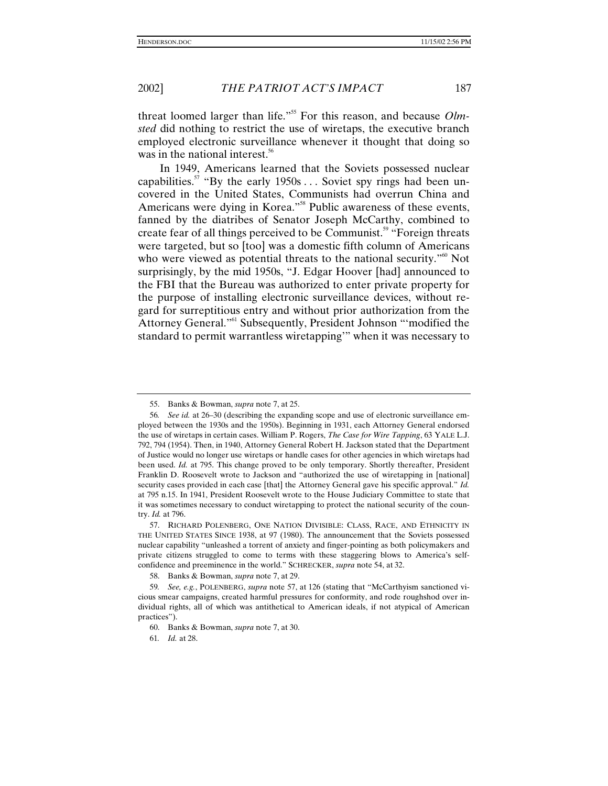threat loomed larger than life." 55 For this reason, and because *Olmsted* did nothing to restrict the use of wiretaps, the executive branch employed electronic surveillance whenever it thought that doing so was in the national interest.<sup>56</sup>

In 1949, Americans learned that the Soviets possessed nuclear capabilities.<sup>57</sup> "By the early  $1950s$ ... Soviet spy rings had been uncovered in the United States, Communists had overrun China and Americans were dying in Korea."<sup>58</sup> Public awareness of these events, fanned by the diatribes of Senator Joseph McCarthy, combined to create fear of all things perceived to be Communist.<sup>59</sup> "Foreign threats" were targeted, but so [too] was a domestic fifth column of Americans who were viewed as potential threats to the national security."<sup>60</sup> Not surprisingly, by the mid 1950s, "J. Edgar Hoover [had] announced to the FBI that the Bureau was authorized to enter private property for the purpose of installing electronic surveillance devices, without regard for surreptitious entry and without prior authorization from the Attorney General."<sup>61</sup> Subsequently, President Johnson "'modified the standard to permit warrantless wiretapping'" when it was necessary to

<sup>55.</sup> Banks & Bowman, *supra* note 7, at 25.

<sup>56</sup>*. See id.* at 26–30 (describing the expanding scope and use of electronic surveillance employed between the 1930s and the 1950s). Beginning in 1931, each Attorney General endorsed the use of wiretaps in certain cases. William P. Rogers, *The Case for Wire Tapping*, 63 YALE L.J. 792, 794 (1954). Then, in 1940, Attorney General Robert H. Jackson stated that the Department of Justice would no longer use wiretaps or handle cases for other agencies in which wiretaps had been used. *Id.* at 795. This change proved to be only temporary. Shortly thereafter, President Franklin D. Roosevelt wrote to Jackson and "authorized the use of wiretapping in [national] security cases provided in each case [that] the Attorney General gave his specific approval." *Id.* at 795 n.15. In 1941, President Roosevelt wrote to the House Judiciary Committee to state that it was sometimes necessary to conduct wiretapping to protect the national security of the country. *Id.* at 796.

<sup>57.</sup> RICHARD POLENBERG, ONE NATION DIVISIBLE: CLASS, RACE, AND ETHNICITY IN THE UNITED STATES SINCE 1938, at 97 (1980). The announcement that the Soviets possessed nuclear capability "unleashed a torrent of anxiety and finger-pointing as both policymakers and private citizens struggled to come to terms with these staggering blows to America's selfconfidence and preeminence in the world." SCHRECKER, *supra* note 54, at 32.

<sup>58.</sup> Banks & Bowman, *supra* note 7, at 29.

<sup>59</sup>*. See, e.g.*, POLENBERG, *supra* note 57, at 126 (stating that "McCarthyism sanctioned vicious smear campaigns, created harmful pressures for conformity, and rode roughshod over individual rights, all of which was antithetical to American ideals, if not atypical of American practices").

<sup>60.</sup> Banks & Bowman, *supra* note 7, at 30.

<sup>61</sup>*. Id.* at 28.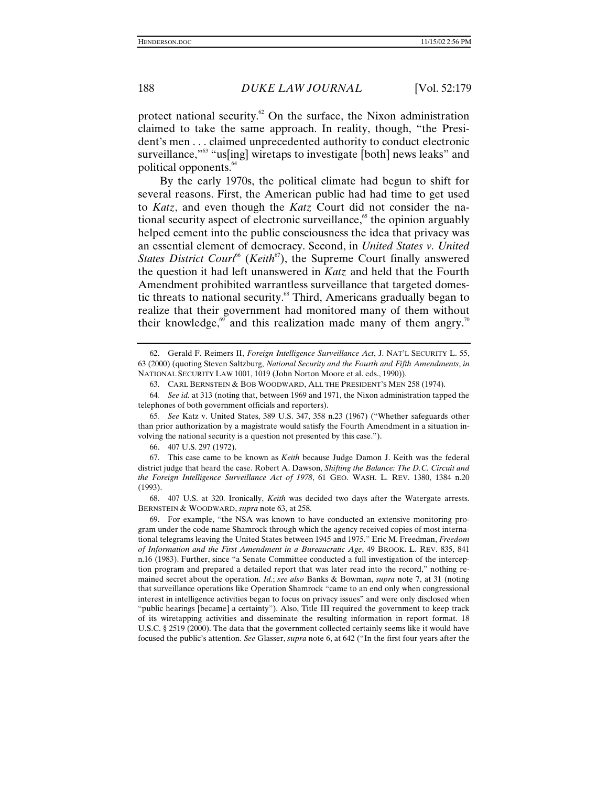protect national security. $62$  On the surface, the Nixon administration claimed to take the same approach. In reality, though, "the President's men . . . claimed unprecedented authority to conduct electronic surveillance," <sup>63</sup> "us[ing] wiretaps to investigate [both] news leaks" and political opponents.<sup>64</sup>

By the early 1970s, the political climate had begun to shift for several reasons. First, the American public had had time to get used to *Katz*, and even though the *Katz* Court did not consider the national security aspect of electronic surveillance, $65$  the opinion arguably helped cement into the public consciousness the idea that privacy was an essential element of democracy. Second, in *United States v. United States District Court*<sup>66</sup> (*Keith*<sup>67</sup>), the Supreme Court finally answered the question it had left unanswered in *Katz* and held that the Fourth Amendment prohibited warrantless surveillance that targeted domestic threats to national security.<sup>68</sup> Third, Americans gradually began to realize that their government had monitored many of them without their knowledge, $69$  and this realization made many of them angry.<sup>70</sup>

66. 407 U.S. 297 (1972).

68. 407 U.S. at 320. Ironically, *Keith* was decided two days after the Watergate arrests. BERNSTEIN & WOODWARD, *supra* note 63, at 258.

69. For example, "the NSA was known to have conducted an extensive monitoring program under the code name Shamrock through which the agency received copies of most international telegrams leaving the United States between 1945 and 1975." Eric M. Freedman, *Freedom of Information and the First Amendment in a Bureaucratic Age*, 49 BROOK. L. REV. 835, 841 n.16 (1983). Further, since "a Senate Committee conducted a full investigation of the interception program and prepared a detailed report that was later read into the record," nothing remained secret about the operation. *Id.*; *see also* Banks & Bowman, *supra* note 7, at 31 (noting that surveillance operations like Operation Shamrock "came to an end only when congressional interest in intelligence activities began to focus on privacy issues" and were only disclosed when "public hearings [became] a certainty"). Also, Title III required the government to keep track of its wiretapping activities and disseminate the resulting information in report format. 18 U.S.C. § 2519 (2000). The data that the government collected certainly seems like it would have focused the public's attention. *See* Glasser, *supra* note 6, at 642 ("In the first four years after the

<sup>62.</sup> Gerald F. Reimers II, *Foreign Intelligence Surveillance Act*, J. NAT'L SECURITY L. 55, 63 (2000) (quoting Steven Saltzburg, *National Security and the Fourth and Fifth Amendments*, *in* NATIONAL SECURITY LAW 1001, 1019 (John Norton Moore et al. eds., 1990)).

<sup>63.</sup> CARL BERNSTEIN & BOB WOODWARD, ALL THE PRESIDENT'S MEN 258 (1974).

<sup>64</sup>*. See id.* at 313 (noting that, between 1969 and 1971, the Nixon administration tapped the telephones of both government officials and reporters).

<sup>65</sup>*. See* Katz v. United States, 389 U.S. 347, 358 n.23 (1967) ("Whether safeguards other than prior authorization by a magistrate would satisfy the Fourth Amendment in a situation involving the national security is a question not presented by this case.").

<sup>67.</sup> This case came to be known as *Keith* because Judge Damon J. Keith was the federal district judge that heard the case. Robert A. Dawson, *Shifting the Balance: The D.C. Circuit and the Foreign Intelligence Surveillance Act of 1978*, 61 GEO. WASH. L. REV. 1380, 1384 n.20 (1993).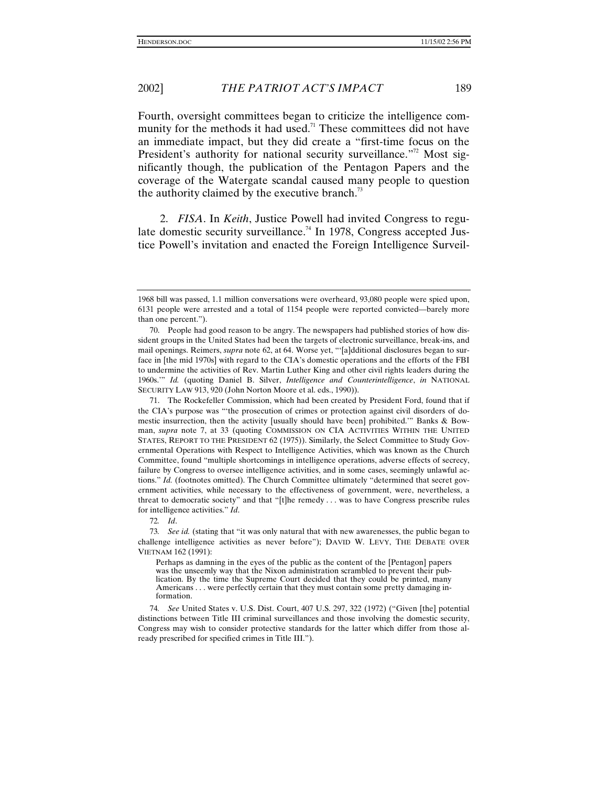Fourth, oversight committees began to criticize the intelligence community for the methods it had used.<sup>71</sup> These committees did not have an immediate impact, but they did create a "first-time focus on the President's authority for national security surveillance."<sup>72</sup> Most significantly though, the publication of the Pentagon Papers and the coverage of the Watergate scandal caused many people to question the authority claimed by the executive branch. $\beta$ 

2. *FISA*. In *Keith*, Justice Powell had invited Congress to regulate domestic security surveillance.<sup>74</sup> In 1978, Congress accepted Justice Powell's invitation and enacted the Foreign Intelligence Surveil-

72*. Id*.

73*. See id.* (stating that "it was only natural that with new awarenesses, the public began to challenge intelligence activities as never before"); DAVID W. LEVY, THE DEBATE OVER VIETNAM 162 (1991):

Perhaps as damning in the eyes of the public as the content of the [Pentagon] papers was the unseemly way that the Nixon administration scrambled to prevent their publication. By the time the Supreme Court decided that they could be printed, many Americans . . . were perfectly certain that they must contain some pretty damaging information.

74*. See* United States v. U.S. Dist. Court, 407 U.S. 297, 322 (1972) ("Given [the] potential distinctions between Title III criminal surveillances and those involving the domestic security, Congress may wish to consider protective standards for the latter which differ from those already prescribed for specified crimes in Title III.").

<sup>1968</sup> bill was passed, 1.1 million conversations were overheard, 93,080 people were spied upon, 6131 people were arrested and a total of 1154 people were reported convicted—barely more than one percent.").

<sup>70.</sup> People had good reason to be angry. The newspapers had published stories of how dissident groups in the United States had been the targets of electronic surveillance, break-ins, and mail openings. Reimers, *supra* note 62, at 64. Worse yet, "'[a]dditional disclosures began to surface in [the mid 1970s] with regard to the CIA's domestic operations and the efforts of the FBI to undermine the activities of Rev. Martin Luther King and other civil rights leaders during the 1960s.'" *Id.* (quoting Daniel B. Silver, *Intelligence and Counterintelligence*, *in* NATIONAL SECURITY LAW 913, 920 (John Norton Moore et al. eds., 1990)).

<sup>71.</sup> The Rockefeller Commission, which had been created by President Ford, found that if the CIA's purpose was "'the prosecution of crimes or protection against civil disorders of domestic insurrection, then the activity [usually should have been] prohibited.'" Banks & Bowman, *supra* note 7, at 33 (quoting COMMISSION ON CIA ACTIVITIES WITHIN THE UNITED STATES, REPORT TO THE PRESIDENT 62 (1975)). Similarly, the Select Committee to Study Governmental Operations with Respect to Intelligence Activities, which was known as the Church Committee, found "multiple shortcomings in intelligence operations, adverse effects of secrecy, failure by Congress to oversee intelligence activities, and in some cases, seemingly unlawful actions." *Id.* (footnotes omitted). The Church Committee ultimately "determined that secret government activities, while necessary to the effectiveness of government, were, nevertheless, a threat to democratic society" and that "[t]he remedy . . . was to have Congress prescribe rules for intelligence activities." *Id*.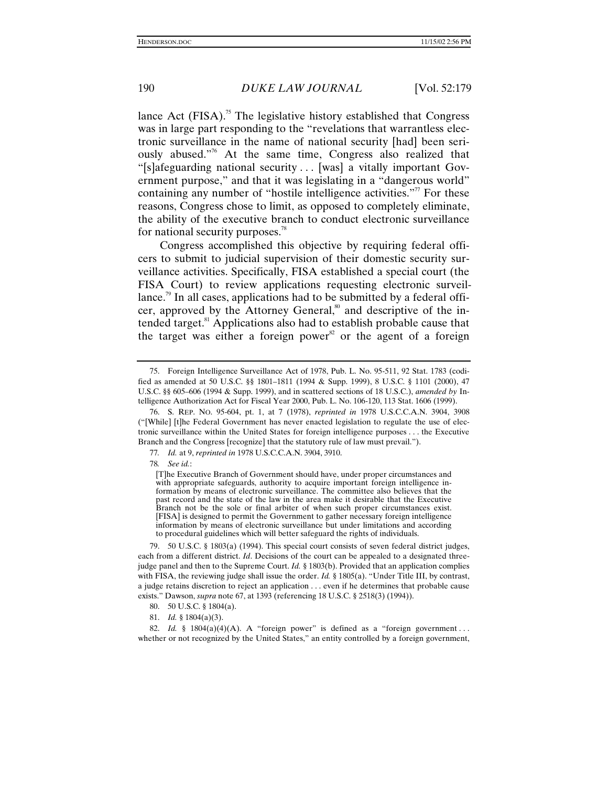lance Act  $(FISA)$ .<sup>75</sup> The legislative history established that Congress was in large part responding to the "revelations that warrantless electronic surveillance in the name of national security [had] been seriously abused."<sup>76</sup> At the same time, Congress also realized that "[s]afeguarding national security . . . [was] a vitally important Government purpose," and that it was legislating in a "dangerous world" containing any number of "hostile intelligence activities."<sup> $\pi$ </sup> For these reasons, Congress chose to limit, as opposed to completely eliminate, the ability of the executive branch to conduct electronic surveillance for national security purposes. $78$ 

Congress accomplished this objective by requiring federal officers to submit to judicial supervision of their domestic security surveillance activities. Specifically, FISA established a special court (the FISA Court) to review applications requesting electronic surveillance.<sup>79</sup> In all cases, applications had to be submitted by a federal officer, approved by the Attorney General, $\delta$ <sup>80</sup> and descriptive of the intended target.81 Applications also had to establish probable cause that the target was either a foreign power $s<sup>2</sup>$  or the agent of a foreign

78*. See id.*:

[T]he Executive Branch of Government should have, under proper circumstances and with appropriate safeguards, authority to acquire important foreign intelligence information by means of electronic surveillance. The committee also believes that the past record and the state of the law in the area make it desirable that the Executive Branch not be the sole or final arbiter of when such proper circumstances exist. [FISA] is designed to permit the Government to gather necessary foreign intelligence information by means of electronic surveillance but under limitations and according to procedural guidelines which will better safeguard the rights of individuals.

79. 50 U.S.C. § 1803(a) (1994). This special court consists of seven federal district judges, each from a different district. *Id*. Decisions of the court can be appealed to a designated threejudge panel and then to the Supreme Court. *Id.* § 1803(b). Provided that an application complies with FISA, the reviewing judge shall issue the order. *Id.* § 1805(a). "Under Title III, by contrast, a judge retains discretion to reject an application . . . even if he determines that probable cause exists." Dawson, *supra* note 67, at 1393 (referencing 18 U.S.C. § 2518(3) (1994)).

<sup>75.</sup> Foreign Intelligence Surveillance Act of 1978, Pub. L. No. 95-511, 92 Stat. 1783 (codified as amended at 50 U.S.C. §§ 1801–1811 (1994 & Supp. 1999), 8 U.S.C. § 1101 (2000), 47 U.S.C. §§ 605–606 (1994 & Supp. 1999), and in scattered sections of 18 U.S.C.), *amended by* Intelligence Authorization Act for Fiscal Year 2000, Pub. L. No. 106-120, 113 Stat. 1606 (1999).

<sup>76.</sup> S. REP. NO. 95-604, pt. 1, at 7 (1978), *reprinted in* 1978 U.S.C.C.A.N. 3904, 3908 ("[While] [t]he Federal Government has never enacted legislation to regulate the use of electronic surveillance within the United States for foreign intelligence purposes . . . the Executive Branch and the Congress [recognize] that the statutory rule of law must prevail.").

<sup>77</sup>*. Id.* at 9, *reprinted in* 1978 U.S.C.C.A.N. 3904, 3910.

<sup>80. 50</sup> U.S.C. § 1804(a).

<sup>81.</sup> *Id.* § 1804(a)(3).

<sup>82.</sup> *Id.* §  $1804(a)(4)(A)$ . A "foreign power" is defined as a "foreign government ... whether or not recognized by the United States," an entity controlled by a foreign government,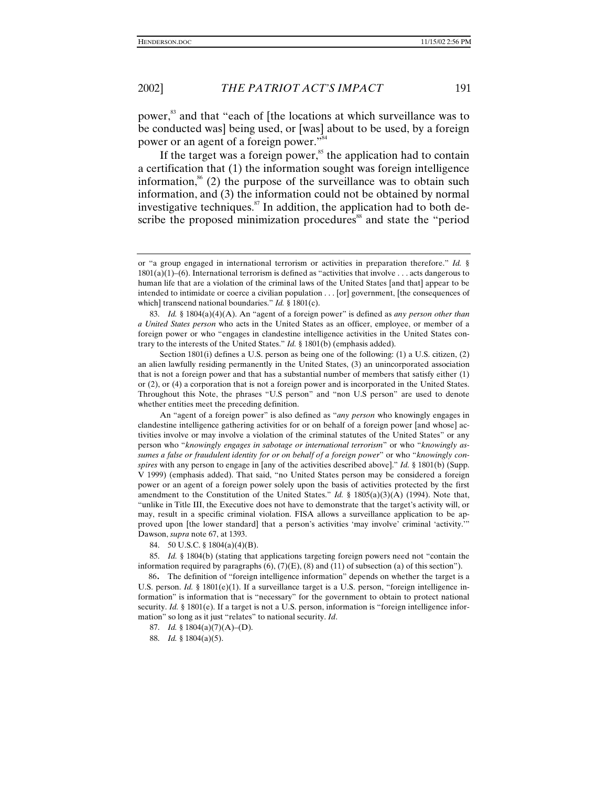power,<sup>83</sup> and that "each of [the locations at which surveillance was to be conducted was] being used, or [was] about to be used, by a foreign power or an agent of a foreign power."<sup>84</sup>

If the target was a foreign power, $s$ <sup>the</sup> application had to contain a certification that (1) the information sought was foreign intelligence information, ${}^{86}$  (2) the purpose of the surveillance was to obtain such information, and (3) the information could not be obtained by normal investigative techniques.<sup>87</sup> In addition, the application had to both describe the proposed minimization procedures<sup>88</sup> and state the "period

Section 1801(i) defines a U.S. person as being one of the following: (1) a U.S. citizen, (2) an alien lawfully residing permanently in the United States, (3) an unincorporated association that is not a foreign power and that has a substantial number of members that satisfy either (1) or (2), or (4) a corporation that is not a foreign power and is incorporated in the United States. Throughout this Note, the phrases "U.S person" and "non U.S person" are used to denote whether entities meet the preceding definition.

84. 50 U.S.C. § 1804(a)(4)(B).

85. *Id.* § 1804(b) (stating that applications targeting foreign powers need not "contain the information required by paragraphs  $(6)$ ,  $(7)(E)$ ,  $(8)$  and  $(11)$  of subsection (a) of this section").

86. The definition of "foreign intelligence information" depends on whether the target is a U.S. person. *Id.* § 1801(e)(1). If a surveillance target is a U.S. person, "foreign intelligence information" is information that is "necessary" for the government to obtain to protect national security. *Id.* § 1801(e). If a target is not a U.S. person, information is "foreign intelligence information" so long as it just "relates" to national security. *Id*.

87. *Id.* § 1804(a)(7)(A)–(D).

88. *Id.* § 1804(a)(5).

or "a group engaged in international terrorism or activities in preparation therefore." *Id.* §  $1801(a)(1)$ –(6). International terrorism is defined as "activities that involve . . . acts dangerous to human life that are a violation of the criminal laws of the United States [and that] appear to be intended to intimidate or coerce a civilian population . . . [or] government, [the consequences of which] transcend national boundaries." *Id.* § 1801(c).

<sup>83.</sup> *Id.* § 1804(a)(4)(A). An "agent of a foreign power" is defined as *any person other than a United States person* who acts in the United States as an officer, employee, or member of a foreign power or who "engages in clandestine intelligence activities in the United States contrary to the interests of the United States." *Id.* § 1801(b) (emphasis added).

An "agent of a foreign power" is also defined as "*any person* who knowingly engages in clandestine intelligence gathering activities for or on behalf of a foreign power [and whose] activities involve or may involve a violation of the criminal statutes of the United States" or any person who "*knowingly engages in sabotage or international terrorism*" or who "*knowingly assumes a false or fraudulent identity for or on behalf of a foreign power*" or who "*knowingly conspires* with any person to engage in [any of the activities described above]." *Id.* § 1801(b) (Supp. V 1999) (emphasis added). That said, "no United States person may be considered a foreign power or an agent of a foreign power solely upon the basis of activities protected by the first amendment to the Constitution of the United States." *Id.* § 1805(a)(3)(A) (1994). Note that, "unlike in Title III, the Executive does not have to demonstrate that the target's activity will, or may, result in a specific criminal violation. FISA allows a surveillance application to be approved upon [the lower standard] that a person's activities 'may involve' criminal 'activity.'" Dawson, *supra* note 67, at 1393.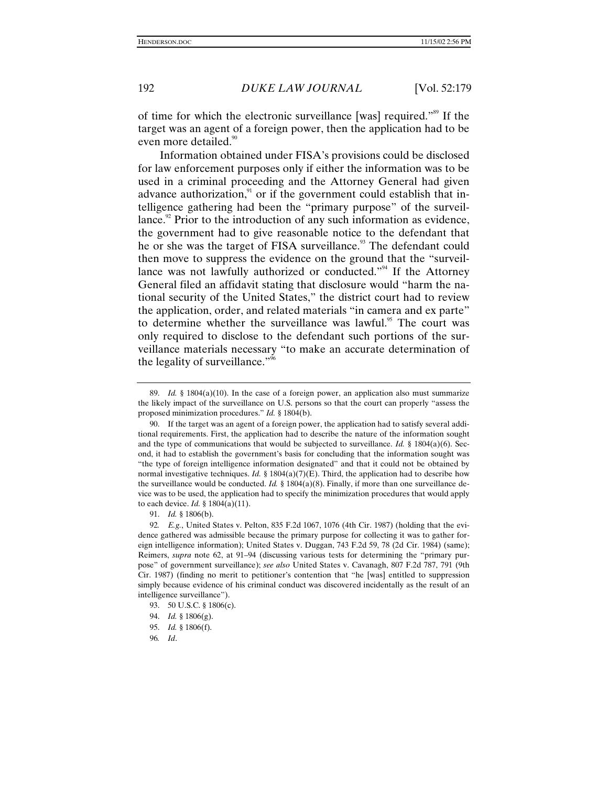of time for which the electronic surveillance [was] required."<sup>89</sup> If the target was an agent of a foreign power, then the application had to be even more detailed.<sup>90</sup>

Information obtained under FISA's provisions could be disclosed for law enforcement purposes only if either the information was to be used in a criminal proceeding and the Attorney General had given advance authorization, $91$  or if the government could establish that intelligence gathering had been the "primary purpose" of the surveillance.<sup>92</sup> Prior to the introduction of any such information as evidence, the government had to give reasonable notice to the defendant that he or she was the target of FISA surveillance.<sup>93</sup> The defendant could then move to suppress the evidence on the ground that the "surveillance was not lawfully authorized or conducted."<sup>94</sup> If the Attorney General filed an affidavit stating that disclosure would "harm the national security of the United States," the district court had to review the application, order, and related materials "in camera and ex parte" to determine whether the surveillance was lawful.<sup>95</sup> The court was only required to disclose to the defendant such portions of the surveillance materials necessary "to make an accurate determination of the legality of surveillance."<sup>96</sup>

96*. Id*.

<sup>89.</sup> *Id.* § 1804(a)(10). In the case of a foreign power, an application also must summarize the likely impact of the surveillance on U.S. persons so that the court can properly "assess the proposed minimization procedures." *Id.* § 1804(b).

<sup>90.</sup> If the target was an agent of a foreign power, the application had to satisfy several additional requirements. First, the application had to describe the nature of the information sought and the type of communications that would be subjected to surveillance. *Id.* § 1804(a)(6). Second, it had to establish the government's basis for concluding that the information sought was "the type of foreign intelligence information designated" and that it could not be obtained by normal investigative techniques. *Id.* § 1804(a)(7)(E). Third, the application had to describe how the surveillance would be conducted. *Id.* § 1804(a)(8). Finally, if more than one surveillance device was to be used, the application had to specify the minimization procedures that would apply to each device. *Id.* § 1804(a)(11).

<sup>91.</sup> *Id.* § 1806(b).

<sup>92</sup>*. E.g.*, United States v. Pelton, 835 F.2d 1067, 1076 (4th Cir. 1987) (holding that the evidence gathered was admissible because the primary purpose for collecting it was to gather foreign intelligence information); United States v. Duggan, 743 F.2d 59, 78 (2d Cir. 1984) (same); Reimers, *supra* note 62, at 91–94 (discussing various tests for determining the "primary purpose" of government surveillance); *see also* United States v. Cavanagh, 807 F.2d 787, 791 (9th Cir. 1987) (finding no merit to petitioner's contention that "he [was] entitled to suppression simply because evidence of his criminal conduct was discovered incidentally as the result of an intelligence surveillance").

<sup>93. 50</sup> U.S.C. § 1806(c).

<sup>94.</sup> *Id.* § 1806(g).

<sup>95.</sup> *Id.* § 1806(f).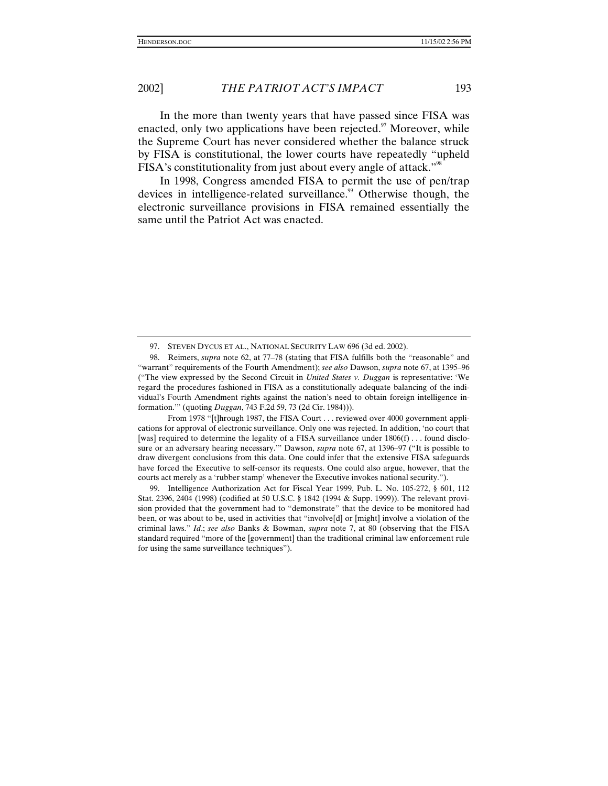In the more than twenty years that have passed since FISA was enacted, only two applications have been rejected. $\degree$  Moreover, while the Supreme Court has never considered whether the balance struck by FISA is constitutional, the lower courts have repeatedly "upheld FISA's constitutionality from just about every angle of attack."<sup>98</sup>

In 1998, Congress amended FISA to permit the use of pen/trap devices in intelligence-related surveillance.<sup>99</sup> Otherwise though, the electronic surveillance provisions in FISA remained essentially the same until the Patriot Act was enacted.

From 1978 "[t]hrough 1987, the FISA Court . . . reviewed over 4000 government applications for approval of electronic surveillance. Only one was rejected. In addition, 'no court that [was] required to determine the legality of a FISA surveillance under 1806(f) . . . found disclosure or an adversary hearing necessary.'" Dawson, *supra* note 67, at 1396–97 ("It is possible to draw divergent conclusions from this data. One could infer that the extensive FISA safeguards have forced the Executive to self-censor its requests. One could also argue, however, that the courts act merely as a 'rubber stamp' whenever the Executive invokes national security.").

99. Intelligence Authorization Act for Fiscal Year 1999, Pub. L. No. 105-272, § 601, 112 Stat. 2396, 2404 (1998) (codified at 50 U.S.C. § 1842 (1994 & Supp. 1999)). The relevant provision provided that the government had to "demonstrate" that the device to be monitored had been, or was about to be, used in activities that "involve[d] or [might] involve a violation of the criminal laws." *Id*.; *see also* Banks & Bowman, *supra* note 7, at 80 (observing that the FISA standard required "more of the [government] than the traditional criminal law enforcement rule for using the same surveillance techniques").

<sup>97.</sup> STEVEN DYCUS ET AL., NATIONAL SECURITY LAW 696 (3d ed. 2002).

<sup>98.</sup> Reimers, *supra* note 62, at 77–78 (stating that FISA fulfills both the "reasonable" and "warrant" requirements of the Fourth Amendment); *see also* Dawson, *supra* note 67, at 1395–96 ("The view expressed by the Second Circuit in *United States v. Duggan* is representative: 'We regard the procedures fashioned in FISA as a constitutionally adequate balancing of the individual's Fourth Amendment rights against the nation's need to obtain foreign intelligence information.'" (quoting *Duggan*, 743 F.2d 59, 73 (2d Cir. 1984))).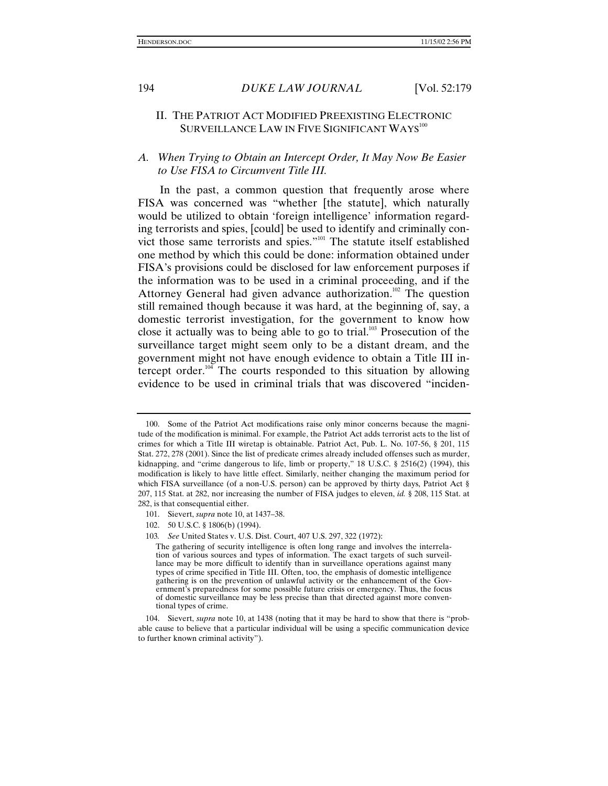# II. THE PATRIOT ACT MODIFIED PREEXISTING ELECTRONIC SURVEILLANCE LAW IN FIVE SIGNIFICANT WAYS<sup>100</sup>

# *A. When Trying to Obtain an Intercept Order, It May Now Be Easier to Use FISA to Circumvent Title III.*

In the past, a common question that frequently arose where FISA was concerned was "whether [the statute], which naturally would be utilized to obtain 'foreign intelligence' information regarding terrorists and spies, [could] be used to identify and criminally convict those same terrorists and spies."<sup>101</sup> The statute itself established one method by which this could be done: information obtained under FISA's provisions could be disclosed for law enforcement purposes if the information was to be used in a criminal proceeding, and if the Attorney General had given advance authorization.<sup>102</sup> The question still remained though because it was hard, at the beginning of, say, a domestic terrorist investigation, for the government to know how close it actually was to being able to go to trial.<sup>103</sup> Prosecution of the surveillance target might seem only to be a distant dream, and the government might not have enough evidence to obtain a Title III intercept order.<sup>104</sup> The courts responded to this situation by allowing evidence to be used in criminal trials that was discovered "inciden-

- 101. Sievert, *supra* note 10, at 1437–38.
- 102. 50 U.S.C. § 1806(b) (1994).
- 103*. See* United States v. U.S. Dist. Court, 407 U.S. 297, 322 (1972):

<sup>100.</sup> Some of the Patriot Act modifications raise only minor concerns because the magnitude of the modification is minimal. For example, the Patriot Act adds terrorist acts to the list of crimes for which a Title III wiretap is obtainable. Patriot Act, Pub. L. No. 107-56, § 201, 115 Stat. 272, 278 (2001). Since the list of predicate crimes already included offenses such as murder, kidnapping, and "crime dangerous to life, limb or property," 18 U.S.C. § 2516(2) (1994), this modification is likely to have little effect. Similarly, neither changing the maximum period for which FISA surveillance (of a non-U.S. person) can be approved by thirty days, Patriot Act § 207, 115 Stat. at 282, nor increasing the number of FISA judges to eleven, *id.* § 208, 115 Stat. at 282, is that consequential either.

The gathering of security intelligence is often long range and involves the interrelation of various sources and types of information. The exact targets of such surveillance may be more difficult to identify than in surveillance operations against many types of crime specified in Title III. Often, too, the emphasis of domestic intelligence gathering is on the prevention of unlawful activity or the enhancement of the Government's preparedness for some possible future crisis or emergency. Thus, the focus of domestic surveillance may be less precise than that directed against more conventional types of crime.

<sup>104.</sup> Sievert, *supra* note 10, at 1438 (noting that it may be hard to show that there is "probable cause to believe that a particular individual will be using a specific communication device to further known criminal activity").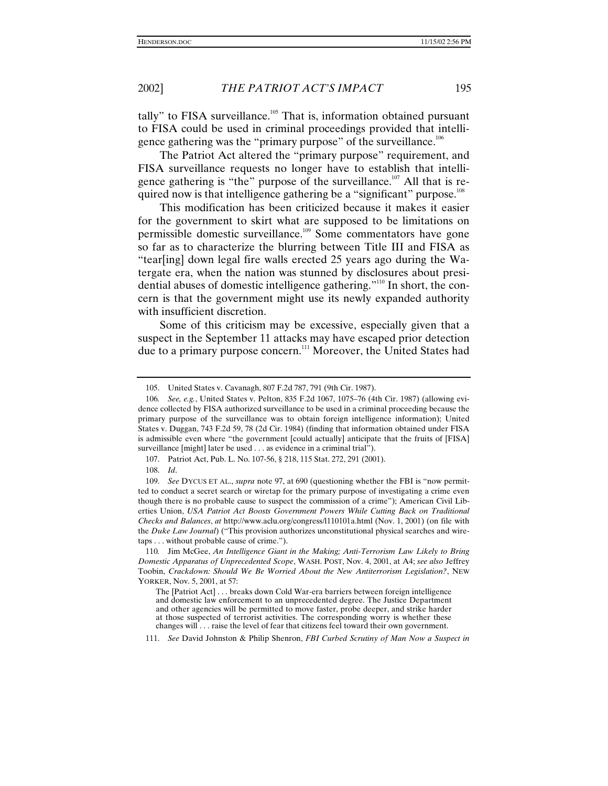tally" to FISA surveillance.<sup>105</sup> That is, information obtained pursuant to FISA could be used in criminal proceedings provided that intelligence gathering was the "primary purpose" of the surveillance.<sup>106</sup>

The Patriot Act altered the "primary purpose" requirement, and FISA surveillance requests no longer have to establish that intelligence gathering is "the" purpose of the surveillance.<sup>107</sup> All that is required now is that intelligence gathering be a "significant" purpose.<sup>108</sup>

This modification has been criticized because it makes it easier for the government to skirt what are supposed to be limitations on permissible domestic surveillance.109 Some commentators have gone so far as to characterize the blurring between Title III and FISA as "tear[ing] down legal fire walls erected 25 years ago during the Watergate era, when the nation was stunned by disclosures about presidential abuses of domestic intelligence gathering."<sup>110</sup> In short, the concern is that the government might use its newly expanded authority with insufficient discretion.

Some of this criticism may be excessive, especially given that a suspect in the September 11 attacks may have escaped prior detection due to a primary purpose concern.<sup>111</sup> Moreover, the United States had

111. *See* David Johnston & Philip Shenron, *FBI Curbed Scrutiny of Man Now a Suspect in*

<sup>105.</sup> United States v. Cavanagh, 807 F.2d 787, 791 (9th Cir. 1987).

<sup>106</sup>*. See, e.g.*, United States v. Pelton, 835 F.2d 1067, 1075–76 (4th Cir. 1987) (allowing evidence collected by FISA authorized surveillance to be used in a criminal proceeding because the primary purpose of the surveillance was to obtain foreign intelligence information); United States v. Duggan, 743 F.2d 59, 78 (2d Cir. 1984) (finding that information obtained under FISA is admissible even where "the government [could actually] anticipate that the fruits of [FISA] surveillance [might] later be used . . . as evidence in a criminal trial").

<sup>107.</sup> Patriot Act, Pub. L. No. 107-56, § 218, 115 Stat. 272, 291 (2001).

<sup>108.</sup> *Id*.

<sup>109.</sup> *See* DYCUS ET AL., *supra* note 97, at 690 (questioning whether the FBI is "now permitted to conduct a secret search or wiretap for the primary purpose of investigating a crime even though there is no probable cause to suspect the commission of a crime"); American Civil Liberties Union, *USA Patriot Act Boosts Government Powers While Cutting Back on Traditional Checks and Balances*, *at* http://www.aclu.org/congress/l110101a.html (Nov. 1, 2001) (on file with the *Duke Law Journal*) ("This provision authorizes unconstitutional physical searches and wiretaps . . . without probable cause of crime.").

<sup>110</sup>*.* Jim McGee, *An Intelligence Giant in the Making; Anti-Terrorism Law Likely to Bring Domestic Apparatus of Unprecedented Scope*, WASH. POST, Nov. 4, 2001, at A4; *see also* Jeffrey Toobin, *Crackdown: Should We Be Worried About the New Antiterrorism Legislation?*, NEW YORKER, Nov. 5, 2001, at 57:

The [Patriot Act] . . . breaks down Cold War-era barriers between foreign intelligence and domestic law enforcement to an unprecedented degree. The Justice Department and other agencies will be permitted to move faster, probe deeper, and strike harder at those suspected of terrorist activities. The corresponding worry is whether these changes will . . . raise the level of fear that citizens feel toward their own government.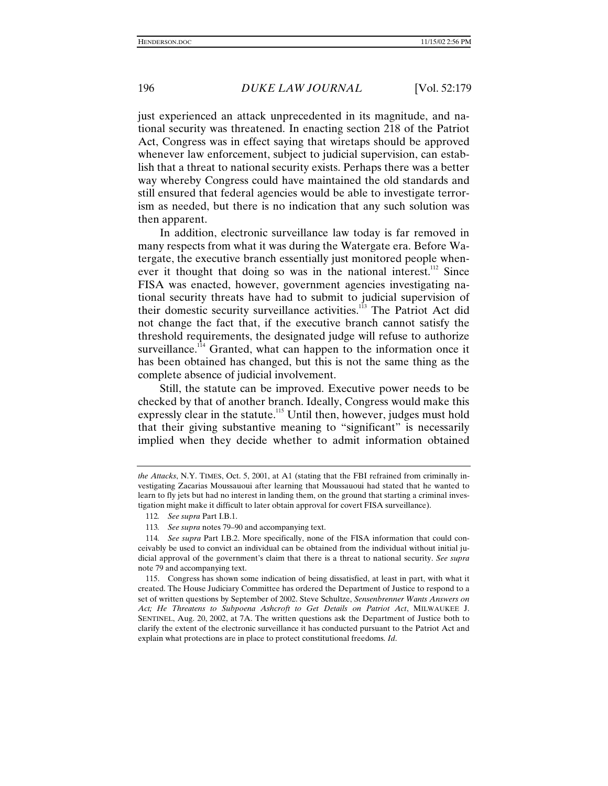just experienced an attack unprecedented in its magnitude, and national security was threatened. In enacting section 218 of the Patriot Act, Congress was in effect saying that wiretaps should be approved whenever law enforcement, subject to judicial supervision, can establish that a threat to national security exists. Perhaps there was a better way whereby Congress could have maintained the old standards and still ensured that federal agencies would be able to investigate terrorism as needed, but there is no indication that any such solution was then apparent.

In addition, electronic surveillance law today is far removed in many respects from what it was during the Watergate era. Before Watergate, the executive branch essentially just monitored people whenever it thought that doing so was in the national interest.<sup>112</sup> Since FISA was enacted, however, government agencies investigating national security threats have had to submit to judicial supervision of their domestic security surveillance activities.<sup>113</sup> The Patriot Act did not change the fact that, if the executive branch cannot satisfy the threshold requirements, the designated judge will refuse to authorize surveillance.<sup>114</sup> Granted, what can happen to the information once it has been obtained has changed, but this is not the same thing as the complete absence of judicial involvement.

Still, the statute can be improved. Executive power needs to be checked by that of another branch. Ideally, Congress would make this expressly clear in the statute.<sup>115</sup> Until then, however, judges must hold that their giving substantive meaning to "significant" is necessarily implied when they decide whether to admit information obtained

*the Attacks*, N.Y. TIMES, Oct. 5, 2001, at A1 (stating that the FBI refrained from criminally investigating Zacarias Moussauoui after learning that Moussauoui had stated that he wanted to learn to fly jets but had no interest in landing them, on the ground that starting a criminal investigation might make it difficult to later obtain approval for covert FISA surveillance).

<sup>112</sup>*. See supra* Part I.B.1.

<sup>113</sup>*. See supra* notes 79–90 and accompanying text.

<sup>114</sup>*. See supra* Part I.B.2. More specifically, none of the FISA information that could conceivably be used to convict an individual can be obtained from the individual without initial judicial approval of the government's claim that there is a threat to national security. *See supra* note 79 and accompanying text.

<sup>115.</sup> Congress has shown some indication of being dissatisfied, at least in part, with what it created. The House Judiciary Committee has ordered the Department of Justice to respond to a set of written questions by September of 2002. Steve Schultze, *Sensenbrenner Wants Answers on Act; He Threatens to Subpoena Ashcroft to Get Details on Patriot Act*, MILWAUKEE J. SENTINEL, Aug. 20, 2002, at 7A. The written questions ask the Department of Justice both to clarify the extent of the electronic surveillance it has conducted pursuant to the Patriot Act and explain what protections are in place to protect constitutional freedoms. *Id*.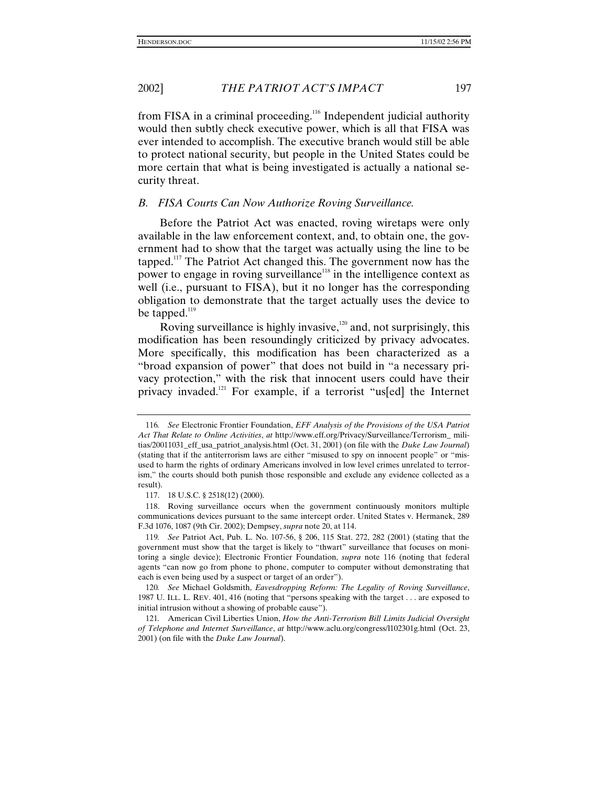from FISA in a criminal proceeding.<sup>116</sup> Independent judicial authority would then subtly check executive power, which is all that FISA was ever intended to accomplish. The executive branch would still be able to protect national security, but people in the United States could be more certain that what is being investigated is actually a national security threat.

### *B. FISA Courts Can Now Authorize Roving Surveillance.*

Before the Patriot Act was enacted, roving wiretaps were only available in the law enforcement context, and, to obtain one, the government had to show that the target was actually using the line to be tapped.<sup>117</sup> The Patriot Act changed this. The government now has the power to engage in roving surveillance<sup>118</sup> in the intelligence context as well (i.e., pursuant to FISA), but it no longer has the corresponding obligation to demonstrate that the target actually uses the device to be tapped. $119$ 

Roving surveillance is highly invasive,<sup>120</sup> and, not surprisingly, this modification has been resoundingly criticized by privacy advocates. More specifically, this modification has been characterized as a "broad expansion of power" that does not build in "a necessary privacy protection," with the risk that innocent users could have their privacy invaded.121 For example, if a terrorist "us[ed] the Internet

<sup>116</sup>*. See* Electronic Frontier Foundation, *EFF Analysis of the Provisions of the USA Patriot Act That Relate to Online Activities*, *at* http://www.eff.org/Privacy/Surveillance/Terrorism\_ militias/20011031\_eff\_usa\_patriot\_analysis.html (Oct. 31, 2001) (on file with the *Duke Law Journal*) (stating that if the antiterrorism laws are either "misused to spy on innocent people" or "misused to harm the rights of ordinary Americans involved in low level crimes unrelated to terrorism," the courts should both punish those responsible and exclude any evidence collected as a result).

<sup>117. 18</sup> U.S.C. § 2518(12) (2000).

<sup>118.</sup> Roving surveillance occurs when the government continuously monitors multiple communications devices pursuant to the same intercept order. United States v. Hermanek, 289 F.3d 1076, 1087 (9th Cir. 2002); Dempsey, *supra* note 20, at 114.

<sup>119</sup>*. See* Patriot Act, Pub. L. No. 107-56, § 206, 115 Stat. 272, 282 (2001) (stating that the government must show that the target is likely to "thwart" surveillance that focuses on monitoring a single device); Electronic Frontier Foundation, *supra* note 116 (noting that federal agents "can now go from phone to phone, computer to computer without demonstrating that each is even being used by a suspect or target of an order").

<sup>120</sup>*. See* Michael Goldsmith, *Eavesdropping Reform: The Legality of Roving Surveillance*, 1987 U. ILL. L. REV. 401, 416 (noting that "persons speaking with the target . . . are exposed to initial intrusion without a showing of probable cause").

<sup>121</sup>*.* American Civil Liberties Union, *How the Anti-Terrorism Bill Limits Judicial Oversight of Telephone and Internet Surveillance*, *at* http://www.aclu.org/congress/l102301g.html (Oct. 23, 2001) (on file with the *Duke Law Journal*).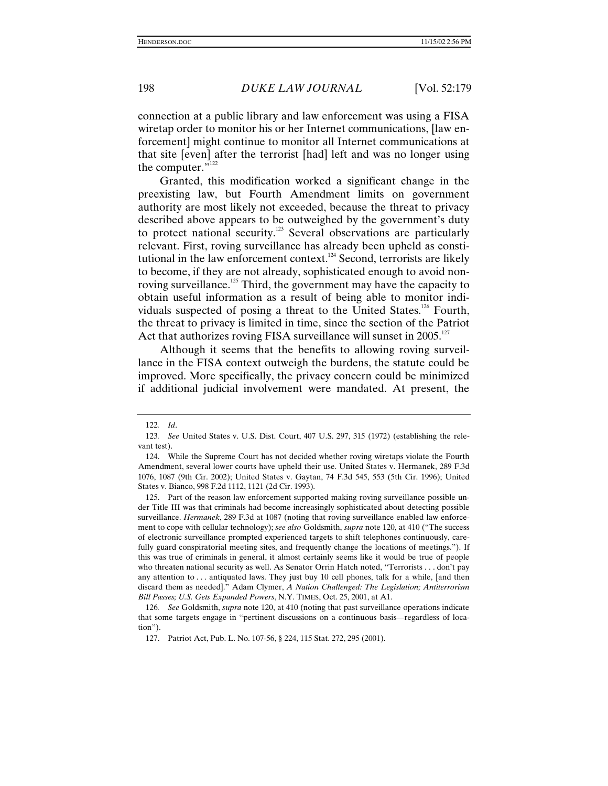connection at a public library and law enforcement was using a FISA wiretap order to monitor his or her Internet communications, [law enforcement] might continue to monitor all Internet communications at that site [even] after the terrorist [had] left and was no longer using the computer."<sup>122</sup>

Granted, this modification worked a significant change in the preexisting law, but Fourth Amendment limits on government authority are most likely not exceeded, because the threat to privacy described above appears to be outweighed by the government's duty to protect national security.<sup>123</sup> Several observations are particularly relevant. First, roving surveillance has already been upheld as constitutional in the law enforcement context.<sup>124</sup> Second, terrorists are likely to become, if they are not already, sophisticated enough to avoid nonroving surveillance.<sup>125</sup> Third, the government may have the capacity to obtain useful information as a result of being able to monitor individuals suspected of posing a threat to the United States.<sup>126</sup> Fourth, the threat to privacy is limited in time, since the section of the Patriot Act that authorizes roving FISA surveillance will sunset in  $2005$ .<sup>127</sup>

Although it seems that the benefits to allowing roving surveillance in the FISA context outweigh the burdens, the statute could be improved. More specifically, the privacy concern could be minimized if additional judicial involvement were mandated. At present, the

125. Part of the reason law enforcement supported making roving surveillance possible under Title III was that criminals had become increasingly sophisticated about detecting possible surveillance. *Hermanek*, 289 F.3d at 1087 (noting that roving surveillance enabled law enforcement to cope with cellular technology); *see also* Goldsmith, *supra* note 120, at 410 ("The success of electronic surveillance prompted experienced targets to shift telephones continuously, carefully guard conspiratorial meeting sites, and frequently change the locations of meetings."). If this was true of criminals in general, it almost certainly seems like it would be true of people who threaten national security as well. As Senator Orrin Hatch noted, "Terrorists . . . don't pay any attention to . . . antiquated laws. They just buy 10 cell phones, talk for a while, [and then discard them as needed]." Adam Clymer, *A Nation Challenged: The Legislation; Antiterrorism Bill Passes; U.S. Gets Expanded Powers*, N.Y. TIMES, Oct. 25, 2001, at A1.

126*. See* Goldsmith, *supra* note 120, at 410 (noting that past surveillance operations indicate that some targets engage in "pertinent discussions on a continuous basis—regardless of location").

<sup>122</sup>*. Id*.

<sup>123</sup>*. See* United States v. U.S. Dist. Court, 407 U.S. 297, 315 (1972) (establishing the relevant test).

<sup>124.</sup> While the Supreme Court has not decided whether roving wiretaps violate the Fourth Amendment, several lower courts have upheld their use. United States v. Hermanek, 289 F.3d 1076, 1087 (9th Cir. 2002); United States v. Gaytan, 74 F.3d 545, 553 (5th Cir. 1996); United States v. Bianco, 998 F.2d 1112, 1121 (2d Cir. 1993).

<sup>127.</sup> Patriot Act, Pub. L. No. 107-56, § 224, 115 Stat. 272, 295 (2001).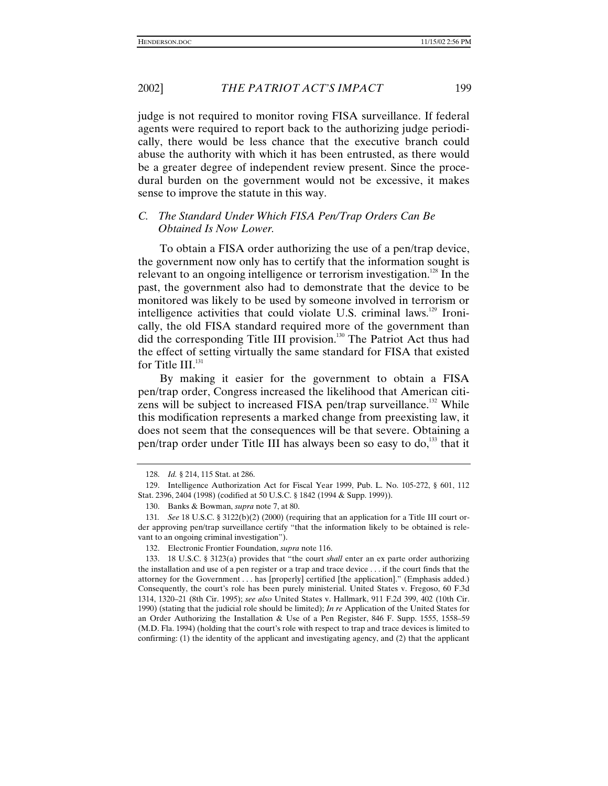judge is not required to monitor roving FISA surveillance. If federal agents were required to report back to the authorizing judge periodically, there would be less chance that the executive branch could abuse the authority with which it has been entrusted, as there would be a greater degree of independent review present. Since the procedural burden on the government would not be excessive, it makes sense to improve the statute in this way.

# *C. The Standard Under Which FISA Pen/Trap Orders Can Be Obtained Is Now Lower.*

To obtain a FISA order authorizing the use of a pen/trap device, the government now only has to certify that the information sought is relevant to an ongoing intelligence or terrorism investigation.<sup>128</sup> In the past, the government also had to demonstrate that the device to be monitored was likely to be used by someone involved in terrorism or intelligence activities that could violate U.S. criminal laws.<sup>129</sup> Ironically, the old FISA standard required more of the government than did the corresponding Title III provision.<sup>130</sup> The Patriot Act thus had the effect of setting virtually the same standard for FISA that existed for Title  $III.^{131}$ 

By making it easier for the government to obtain a FISA pen/trap order, Congress increased the likelihood that American citizens will be subject to increased FISA pen/trap surveillance.<sup>132</sup> While this modification represents a marked change from preexisting law, it does not seem that the consequences will be that severe. Obtaining a pen/trap order under Title III has always been so easy to  $do<sup>133</sup>$ , that it

<sup>128.</sup> *Id.* § 214, 115 Stat. at 286.

<sup>129.</sup> Intelligence Authorization Act for Fiscal Year 1999, Pub. L. No. 105-272, § 601, 112 Stat. 2396, 2404 (1998) (codified at 50 U.S.C. § 1842 (1994 & Supp. 1999)).

<sup>130.</sup> Banks & Bowman, *supra* note 7, at 80.

<sup>131</sup>*. See* 18 U.S.C. § 3122(b)(2) (2000) (requiring that an application for a Title III court order approving pen/trap surveillance certify "that the information likely to be obtained is relevant to an ongoing criminal investigation").

<sup>132.</sup> Electronic Frontier Foundation, *supra* note 116.

<sup>133. 18</sup> U.S.C. § 3123(a) provides that "the court *shall* enter an ex parte order authorizing the installation and use of a pen register or a trap and trace device . . . if the court finds that the attorney for the Government . . . has [properly] certified [the application]." (Emphasis added.) Consequently, the court's role has been purely ministerial. United States v. Fregoso, 60 F.3d 1314, 1320–21 (8th Cir. 1995); *see also* United States v. Hallmark, 911 F.2d 399, 402 (10th Cir. 1990) (stating that the judicial role should be limited); *In re* Application of the United States for an Order Authorizing the Installation & Use of a Pen Register, 846 F. Supp. 1555, 1558–59 (M.D. Fla. 1994) (holding that the court's role with respect to trap and trace devices is limited to confirming: (1) the identity of the applicant and investigating agency, and (2) that the applicant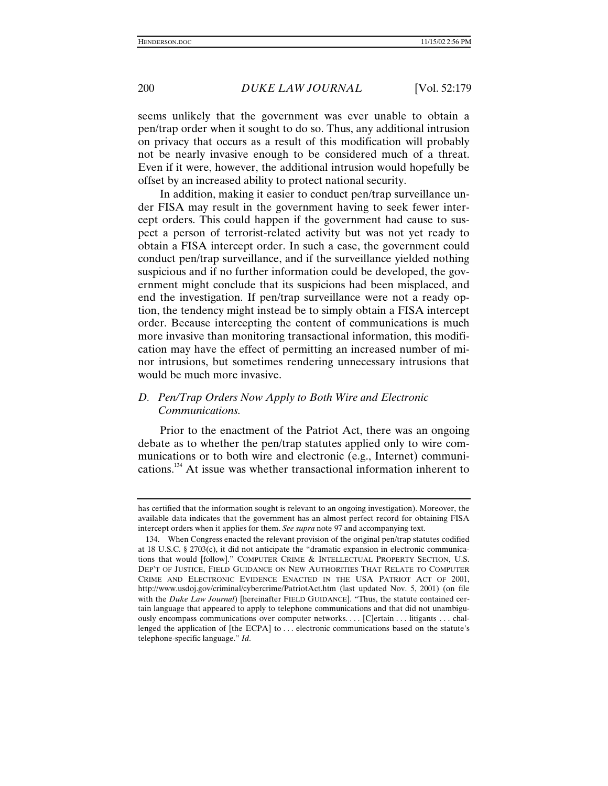seems unlikely that the government was ever unable to obtain a pen/trap order when it sought to do so. Thus, any additional intrusion on privacy that occurs as a result of this modification will probably not be nearly invasive enough to be considered much of a threat. Even if it were, however, the additional intrusion would hopefully be offset by an increased ability to protect national security.

In addition, making it easier to conduct pen/trap surveillance under FISA may result in the government having to seek fewer intercept orders. This could happen if the government had cause to suspect a person of terrorist-related activity but was not yet ready to obtain a FISA intercept order. In such a case, the government could conduct pen/trap surveillance, and if the surveillance yielded nothing suspicious and if no further information could be developed, the government might conclude that its suspicions had been misplaced, and end the investigation. If pen/trap surveillance were not a ready option, the tendency might instead be to simply obtain a FISA intercept order. Because intercepting the content of communications is much more invasive than monitoring transactional information, this modification may have the effect of permitting an increased number of minor intrusions, but sometimes rendering unnecessary intrusions that would be much more invasive.

# *D. Pen/Trap Orders Now Apply to Both Wire and Electronic Communications.*

Prior to the enactment of the Patriot Act, there was an ongoing debate as to whether the pen/trap statutes applied only to wire communications or to both wire and electronic (e.g., Internet) communications.134 At issue was whether transactional information inherent to

has certified that the information sought is relevant to an ongoing investigation). Moreover, the available data indicates that the government has an almost perfect record for obtaining FISA intercept orders when it applies for them. *See supra* note 97 and accompanying text.

<sup>134.</sup> When Congress enacted the relevant provision of the original pen/trap statutes codified at 18 U.S.C. § 2703(c), it did not anticipate the "dramatic expansion in electronic communications that would [follow]." COMPUTER CRIME & INTELLECTUAL PROPERTY SECTION, U.S. DEP'T OF JUSTICE, FIELD GUIDANCE ON NEW AUTHORITIES THAT RELATE TO COMPUTER CRIME AND ELECTRONIC EVIDENCE ENACTED IN THE USA PATRIOT ACT OF 2001, http://www.usdoj.gov/criminal/cybercrime/PatriotAct.htm (last updated Nov. 5, 2001) (on file with the *Duke Law Journal*) [hereinafter FIELD GUIDANCE]. "Thus, the statute contained certain language that appeared to apply to telephone communications and that did not unambiguously encompass communications over computer networks. . . . [C]ertain . . . litigants . . . challenged the application of [the ECPA] to . . . electronic communications based on the statute's telephone-specific language." *Id*.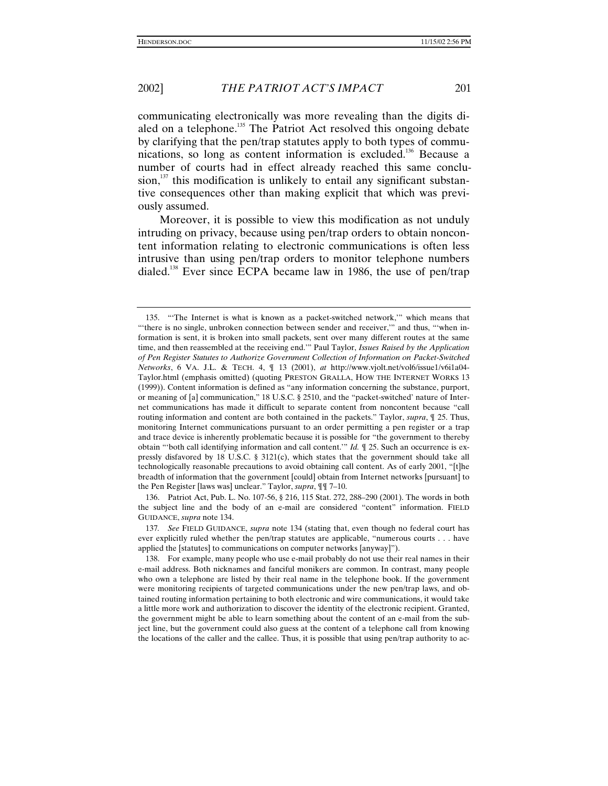communicating electronically was more revealing than the digits dialed on a telephone.<sup>135</sup> The Patriot Act resolved this ongoing debate by clarifying that the pen/trap statutes apply to both types of communications, so long as content information is excluded.<sup>136</sup> Because a number of courts had in effect already reached this same conclu $sion$ <sup>137</sup>, this modification is unlikely to entail any significant substantive consequences other than making explicit that which was previously assumed.

Moreover, it is possible to view this modification as not unduly intruding on privacy, because using pen/trap orders to obtain noncontent information relating to electronic communications is often less intrusive than using pen/trap orders to monitor telephone numbers dialed.<sup>138</sup> Ever since ECPA became law in 1986, the use of pen/trap

136. Patriot Act, Pub. L. No. 107-56, § 216, 115 Stat. 272, 288–290 (2001). The words in both the subject line and the body of an e-mail are considered "content" information. FIELD GUIDANCE, *supra* note 134.

137*. See* FIELD GUIDANCE, *supra* note 134 (stating that, even though no federal court has ever explicitly ruled whether the pen/trap statutes are applicable, "numerous courts . . . have applied the [statutes] to communications on computer networks [anyway]").

138. For example, many people who use e-mail probably do not use their real names in their e-mail address. Both nicknames and fanciful monikers are common. In contrast, many people who own a telephone are listed by their real name in the telephone book. If the government were monitoring recipients of targeted communications under the new pen/trap laws, and obtained routing information pertaining to both electronic and wire communications, it would take a little more work and authorization to discover the identity of the electronic recipient. Granted, the government might be able to learn something about the content of an e-mail from the subject line, but the government could also guess at the content of a telephone call from knowing the locations of the caller and the callee. Thus, it is possible that using pen/trap authority to ac-

<sup>135.</sup> "'The Internet is what is known as a packet-switched network,'" which means that "'there is no single, unbroken connection between sender and receiver,'" and thus, "'when information is sent, it is broken into small packets, sent over many different routes at the same time, and then reassembled at the receiving end.'" Paul Taylor, *Issues Raised by the Application of Pen Register Statutes to Authorize Government Collection of Information on Packet-Switched Networks*, 6 VA. J.L. & TECH. 4, ¶ 13 (2001), *at* http://www.vjolt.net/vol6/issue1/v6i1a04- Taylor.html (emphasis omitted) (quoting PRESTON GRALLA, HOW THE INTERNET WORKS 13 (1999)). Content information is defined as "any information concerning the substance, purport, or meaning of [a] communication," 18 U.S.C. § 2510, and the "packet-switched' nature of Internet communications has made it difficult to separate content from noncontent because "call routing information and content are both contained in the packets." Taylor, *supra*, ¶ 25. Thus, monitoring Internet communications pursuant to an order permitting a pen register or a trap and trace device is inherently problematic because it is possible for "the government to thereby obtain "'both call identifying information and call content.'" *Id.* ¶ 25. Such an occurrence is expressly disfavored by 18 U.S.C. § 3121 $(c)$ , which states that the government should take all technologically reasonable precautions to avoid obtaining call content. As of early 2001, "[t]he breadth of information that the government [could] obtain from Internet networks [pursuant] to the Pen Register [laws was] unclear." Taylor, *supra*, ¶¶ 7–10.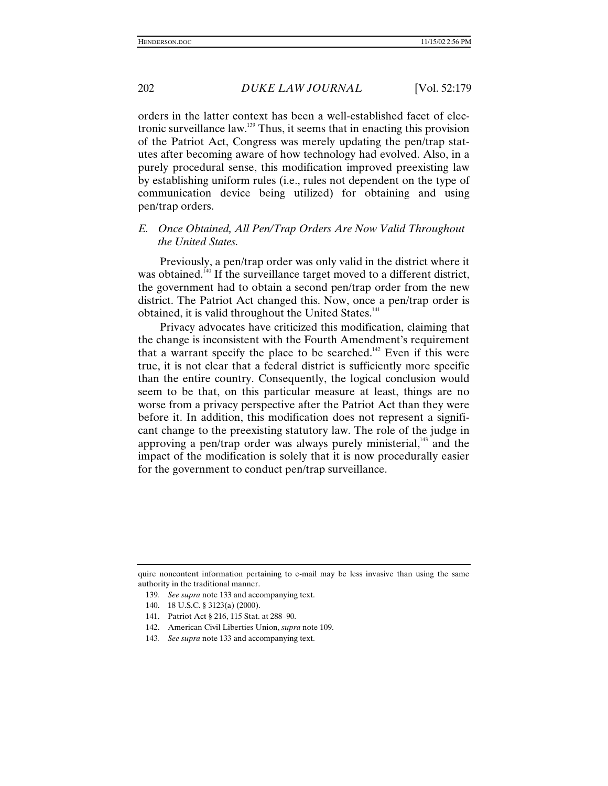orders in the latter context has been a well-established facet of electronic surveillance law.139 Thus, it seems that in enacting this provision of the Patriot Act, Congress was merely updating the pen/trap statutes after becoming aware of how technology had evolved. Also, in a purely procedural sense, this modification improved preexisting law by establishing uniform rules (i.e., rules not dependent on the type of communication device being utilized) for obtaining and using pen/trap orders.

# *E. Once Obtained, All Pen/Trap Orders Are Now Valid Throughout the United States.*

Previously, a pen/trap order was only valid in the district where it was obtained.<sup>140</sup> If the surveillance target moved to a different district, the government had to obtain a second pen/trap order from the new district. The Patriot Act changed this. Now, once a pen/trap order is obtained, it is valid throughout the United States.<sup>141</sup>

Privacy advocates have criticized this modification, claiming that the change is inconsistent with the Fourth Amendment's requirement that a warrant specify the place to be searched.<sup>142</sup> Even if this were true, it is not clear that a federal district is sufficiently more specific than the entire country. Consequently, the logical conclusion would seem to be that, on this particular measure at least, things are no worse from a privacy perspective after the Patriot Act than they were before it. In addition, this modification does not represent a significant change to the preexisting statutory law. The role of the judge in approving a pen/trap order was always purely ministerial, $^{143}$  and the impact of the modification is solely that it is now procedurally easier for the government to conduct pen/trap surveillance.

- 141. Patriot Act § 216, 115 Stat. at 288–90.
- 142. American Civil Liberties Union, *supra* note 109.
- 143*. See supra* note 133 and accompanying text.

quire noncontent information pertaining to e-mail may be less invasive than using the same authority in the traditional manner.

<sup>139</sup>*. See supra* note 133 and accompanying text.

<sup>140. 18</sup> U.S.C. § 3123(a) (2000).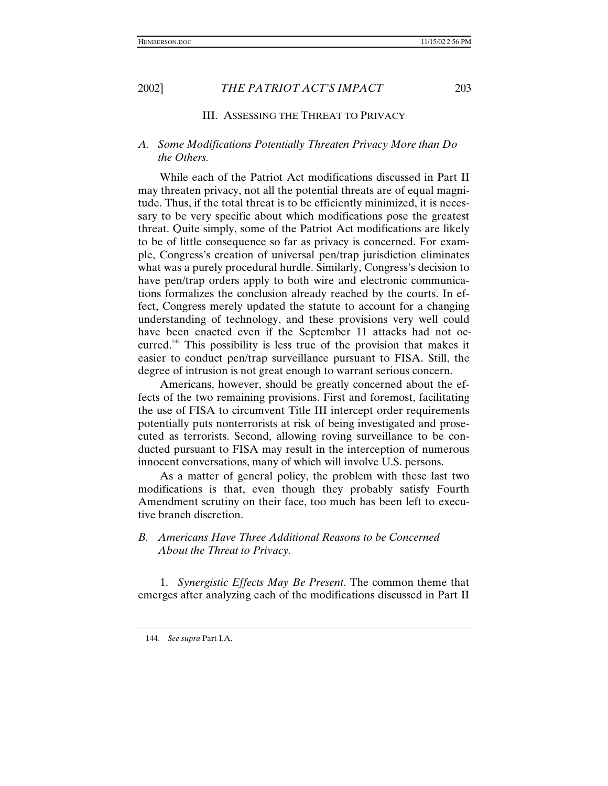#### III. ASSESSING THE THREAT TO PRIVACY

# *A. Some Modifications Potentially Threaten Privacy More than Do the Others.*

While each of the Patriot Act modifications discussed in Part II may threaten privacy, not all the potential threats are of equal magnitude. Thus, if the total threat is to be efficiently minimized, it is necessary to be very specific about which modifications pose the greatest threat. Quite simply, some of the Patriot Act modifications are likely to be of little consequence so far as privacy is concerned. For example, Congress's creation of universal pen/trap jurisdiction eliminates what was a purely procedural hurdle. Similarly, Congress's decision to have pen/trap orders apply to both wire and electronic communications formalizes the conclusion already reached by the courts. In effect, Congress merely updated the statute to account for a changing understanding of technology, and these provisions very well could have been enacted even if the September 11 attacks had not occurred.<sup>144</sup> This possibility is less true of the provision that makes it easier to conduct pen/trap surveillance pursuant to FISA. Still, the degree of intrusion is not great enough to warrant serious concern.

Americans, however, should be greatly concerned about the effects of the two remaining provisions. First and foremost, facilitating the use of FISA to circumvent Title III intercept order requirements potentially puts nonterrorists at risk of being investigated and prosecuted as terrorists. Second, allowing roving surveillance to be conducted pursuant to FISA may result in the interception of numerous innocent conversations, many of which will involve U.S. persons.

As a matter of general policy, the problem with these last two modifications is that, even though they probably satisfy Fourth Amendment scrutiny on their face, too much has been left to executive branch discretion.

# *B. Americans Have Three Additional Reasons to be Concerned About the Threat to Privacy.*

1. *Synergistic Effects May Be Present*. The common theme that emerges after analyzing each of the modifications discussed in Part II

<sup>144</sup>*. See supra* Part I.A.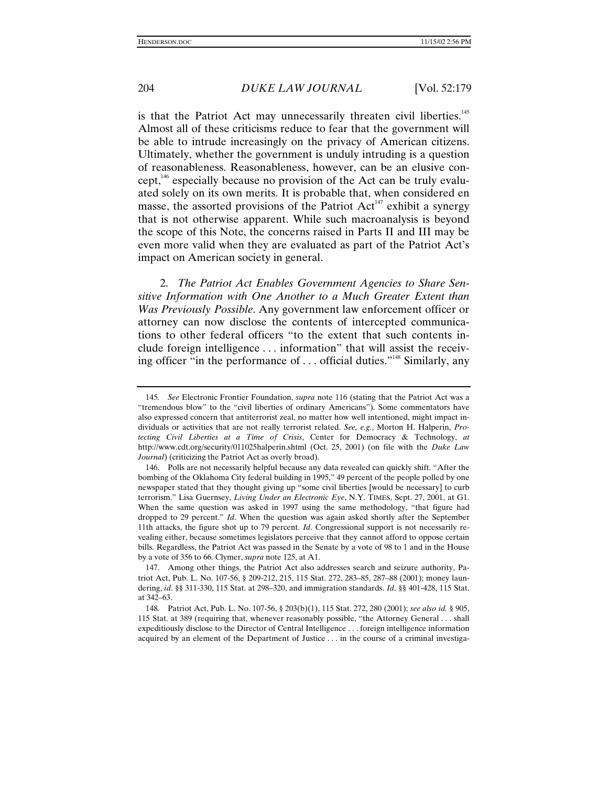is that the Patriot Act may unnecessarily threaten civil liberties.<sup>145</sup> Almost all of these criticisms reduce to fear that the government will be able to intrude increasingly on the privacy of American citizens. Ultimately, whether the government is unduly intruding is a question of reasonableness. Reasonableness, however, can be an elusive concept, $146$  especially because no provision of the Act can be truly evaluated solely on its own merits. It is probable that, when considered en masse, the assorted provisions of the Patriot  $Act<sup>147</sup>$  exhibit a synergy that is not otherwise apparent. While such macroanalysis is beyond the scope of this Note, the concerns raised in Parts II and III may be even more valid when they are evaluated as part of the Patriot Act's impact on American society in general.

2. *The Patriot Act Enables Government Agencies to Share Sensitive Information with One Another to a Much Greater Extent than Was Previously Possible*. Any government law enforcement officer or attorney can now disclose the contents of intercepted communications to other federal officers "to the extent that such contents include foreign intelligence . . . information" that will assist the receiving officer "in the performance of ... official duties."<sup>148</sup> Similarly, any

<sup>145</sup>*. See* Electronic Frontier Foundation, *supra* note 116 (stating that the Patriot Act was a "tremendous blow" to the "civil liberties of ordinary Americans"). Some commentators have also expressed concern that antiterrorist zeal, no matter how well intentioned, might impact individuals or activities that are not really terrorist related. *See, e.g.*, Morton H. Halperin, *Protecting Civil Liberties at a Time of Crisis*, Center for Democracy & Technology, *at* http://www.cdt.org/security/011025halperin.shtml (Oct. 25, 2001) (on file with the *Duke Law Journal*) (criticizing the Patriot Act as overly broad).

<sup>146.</sup> Polls are not necessarily helpful because any data revealed can quickly shift. "After the bombing of the Oklahoma City federal building in 1995," 49 percent of the people polled by one newspaper stated that they thought giving up "some civil liberties [would be necessary] to curb terrorism." Lisa Guernsey, *Living Under an Electronic Eye*, N.Y. TIMES, Sept. 27, 2001, at G1. When the same question was asked in 1997 using the same methodology, "that figure had dropped to 29 percent." *Id*. When the question was again asked shortly after the September 11th attacks, the figure shot up to 79 percent. *Id*. Congressional support is not necessarily revealing either, because sometimes legislators perceive that they cannot afford to oppose certain bills. Regardless, the Patriot Act was passed in the Senate by a vote of 98 to 1 and in the House by a vote of 356 to 66. Clymer, *supra* note 125, at A1.

<sup>147.</sup> Among other things, the Patriot Act also addresses search and seizure authority, Patriot Act, Pub. L. No. 107-56, § 209-212, 215, 115 Stat. 272, 283–85, 287–88 (2001); money laundering, *id*. §§ 311-330, 115 Stat. at 298–320, and immigration standards. *Id*. §§ 401-428, 115 Stat. at 342–63.

<sup>148</sup>*.* Patriot Act, Pub. L. No. 107-56, § 203(b)(1), 115 Stat. 272, 280 (2001); *see also id.* § 905, 115 Stat. at 389 (requiring that, whenever reasonably possible, "the Attorney General . . . shall expeditiously disclose to the Director of Central Intelligence . . . foreign intelligence information acquired by an element of the Department of Justice . . . in the course of a criminal investiga-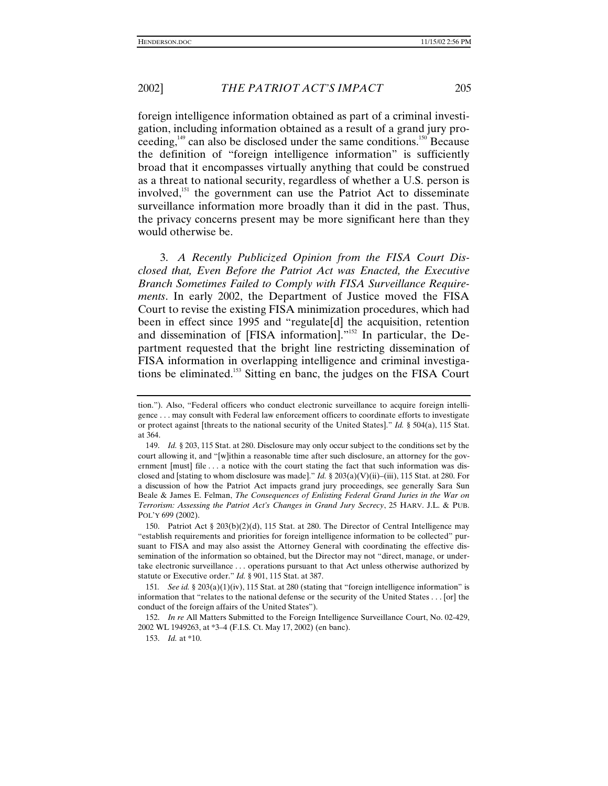foreign intelligence information obtained as part of a criminal investigation, including information obtained as a result of a grand jury proceeding,149 can also be disclosed under the same conditions.150 Because the definition of "foreign intelligence information" is sufficiently broad that it encompasses virtually anything that could be construed as a threat to national security, regardless of whether a U.S. person is involved,<sup>151</sup> the government can use the Patriot Act to disseminate surveillance information more broadly than it did in the past. Thus, the privacy concerns present may be more significant here than they would otherwise be.

3. *A Recently Publicized Opinion from the FISA Court Disclosed that, Even Before the Patriot Act was Enacted, the Executive Branch Sometimes Failed to Comply with FISA Surveillance Requirements*. In early 2002, the Department of Justice moved the FISA Court to revise the existing FISA minimization procedures, which had been in effect since 1995 and "regulate[d] the acquisition, retention and dissemination of [FISA information]."<sup>152</sup> In particular, the Department requested that the bright line restricting dissemination of FISA information in overlapping intelligence and criminal investigations be eliminated.153 Sitting en banc, the judges on the FISA Court

tion."). Also, "Federal officers who conduct electronic surveillance to acquire foreign intelligence . . . may consult with Federal law enforcement officers to coordinate efforts to investigate or protect against [threats to the national security of the United States]." *Id.* § 504(a), 115 Stat. at 364.

<sup>149.</sup> *Id.* § 203, 115 Stat. at 280. Disclosure may only occur subject to the conditions set by the court allowing it, and "[w]ithin a reasonable time after such disclosure, an attorney for the government [must] file . . . a notice with the court stating the fact that such information was disclosed and [stating to whom disclosure was made]." *Id.* § 203(a)(V)(ii)–(iii), 115 Stat. at 280. For a discussion of how the Patriot Act impacts grand jury proceedings, see generally Sara Sun Beale & James E. Felman, *The Consequences of Enlisting Federal Grand Juries in the War on Terrorism: Assessing the Patriot Act's Changes in Grand Jury Secrecy*, 25 HARV. J.L. & PUB. POL'Y 699 (2002).

<sup>150.</sup> Patriot Act § 203(b)(2)(d), 115 Stat. at 280. The Director of Central Intelligence may "establish requirements and priorities for foreign intelligence information to be collected" pursuant to FISA and may also assist the Attorney General with coordinating the effective dissemination of the information so obtained, but the Director may not "direct, manage, or undertake electronic surveillance . . . operations pursuant to that Act unless otherwise authorized by statute or Executive order." *Id.* § 901, 115 Stat. at 387.

<sup>151</sup>*. See id.* § 203(a)(1)(iv), 115 Stat. at 280 (stating that "foreign intelligence information" is information that "relates to the national defense or the security of the United States . . . [or] the conduct of the foreign affairs of the United States").

<sup>152.</sup> *In re* All Matters Submitted to the Foreign Intelligence Surveillance Court, No. 02-429, 2002 WL 1949263, at \*3–4 (F.I.S. Ct. May 17, 2002) (en banc).

<sup>153.</sup> *Id.* at \*10.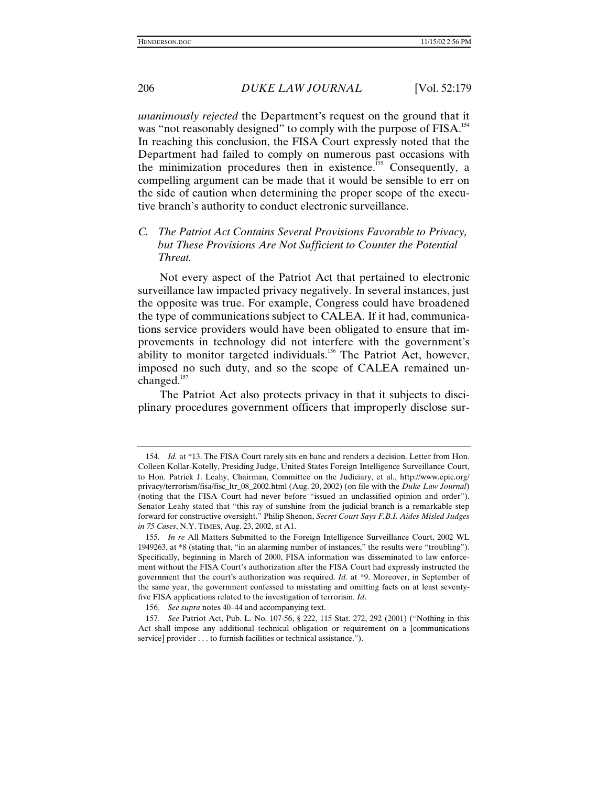*unanimously rejected* the Department's request on the ground that it was "not reasonably designed" to comply with the purpose of FISA.<sup>154</sup> In reaching this conclusion, the FISA Court expressly noted that the Department had failed to comply on numerous past occasions with the minimization procedures then in existence.<sup>155</sup> Consequently, a compelling argument can be made that it would be sensible to err on the side of caution when determining the proper scope of the executive branch's authority to conduct electronic surveillance.

# *C. The Patriot Act Contains Several Provisions Favorable to Privacy, but These Provisions Are Not Sufficient to Counter the Potential Threat.*

Not every aspect of the Patriot Act that pertained to electronic surveillance law impacted privacy negatively. In several instances, just the opposite was true. For example, Congress could have broadened the type of communications subject to CALEA. If it had, communications service providers would have been obligated to ensure that improvements in technology did not interfere with the government's ability to monitor targeted individuals.<sup>156</sup> The Patriot Act, however, imposed no such duty, and so the scope of CALEA remained unchanged.<sup>157</sup>

The Patriot Act also protects privacy in that it subjects to disciplinary procedures government officers that improperly disclose sur-

<sup>154.</sup> *Id.* at \*13. The FISA Court rarely sits en banc and renders a decision. Letter from Hon. Colleen Kollar-Kotelly, Presiding Judge, United States Foreign Intelligence Surveillance Court, to Hon. Patrick J. Leahy, Chairman, Committee on the Judiciary, et al., http://www.epic.org/ privacy/terrorism/fisa/fisc\_ltr\_08\_2002.html (Aug. 20, 2002) (on file with the *Duke Law Journal*) (noting that the FISA Court had never before "issued an unclassified opinion and order"). Senator Leahy stated that "this ray of sunshine from the judicial branch is a remarkable step forward for constructive oversight." Philip Shenon, *Secret Court Says F.B.I. Aides Misled Judges in 75 Cases*, N.Y. TIMES, Aug. 23, 2002, at A1.

<sup>155.</sup> *In re* All Matters Submitted to the Foreign Intelligence Surveillance Court, 2002 WL 1949263, at \*8 (stating that, "in an alarming number of instances," the results were "troubling"). Specifically, beginning in March of 2000, FISA information was disseminated to law enforcement without the FISA Court's authorization after the FISA Court had expressly instructed the government that the court's authorization was required. *Id.* at \*9. Moreover, in September of the same year, the government confessed to misstating and omitting facts on at least seventyfive FISA applications related to the investigation of terrorism. *Id*.

<sup>156</sup>*. See supra* notes 40–44 and accompanying text.

<sup>157</sup>*. See* Patriot Act, Pub. L. No. 107-56, § 222, 115 Stat. 272, 292 (2001) ("Nothing in this Act shall impose any additional technical obligation or requirement on a [communications service] provider . . . to furnish facilities or technical assistance.").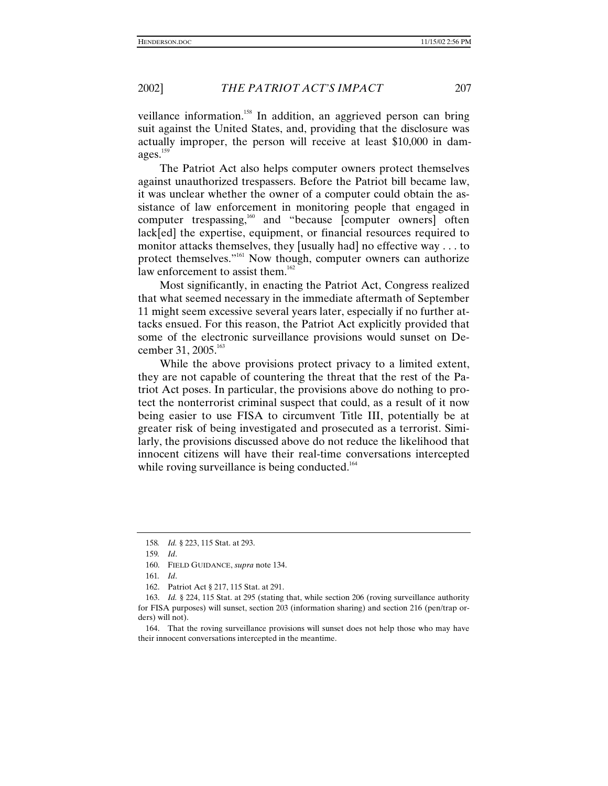veillance information.<sup>158</sup> In addition, an aggrieved person can bring suit against the United States, and, providing that the disclosure was actually improper, the person will receive at least \$10,000 in damages.<sup>159</sup>

The Patriot Act also helps computer owners protect themselves against unauthorized trespassers. Before the Patriot bill became law, it was unclear whether the owner of a computer could obtain the assistance of law enforcement in monitoring people that engaged in computer trespassing,<sup>160</sup> and "because [computer owners] often lack[ed] the expertise, equipment, or financial resources required to monitor attacks themselves, they [usually had] no effective way . . . to protect themselves."<sup>161</sup> Now though, computer owners can authorize law enforcement to assist them.<sup>162</sup>

Most significantly, in enacting the Patriot Act, Congress realized that what seemed necessary in the immediate aftermath of September 11 might seem excessive several years later, especially if no further attacks ensued. For this reason, the Patriot Act explicitly provided that some of the electronic surveillance provisions would sunset on December 31, 2005.<sup>163</sup>

While the above provisions protect privacy to a limited extent, they are not capable of countering the threat that the rest of the Patriot Act poses. In particular, the provisions above do nothing to protect the nonterrorist criminal suspect that could, as a result of it now being easier to use FISA to circumvent Title III, potentially be at greater risk of being investigated and prosecuted as a terrorist. Similarly, the provisions discussed above do not reduce the likelihood that innocent citizens will have their real-time conversations intercepted while roving surveillance is being conducted. $164$ 

<sup>158</sup>*. Id.* § 223, 115 Stat. at 293.

<sup>159</sup>*. Id*.

<sup>160.</sup> FIELD GUIDANCE, *supra* note 134.

<sup>161</sup>*. Id*.

<sup>162.</sup> Patriot Act § 217, 115 Stat. at 291.

<sup>163.</sup> *Id.* § 224, 115 Stat. at 295 (stating that, while section 206 (roving surveillance authority for FISA purposes) will sunset, section 203 (information sharing) and section 216 (pen/trap orders) will not).

<sup>164.</sup> That the roving surveillance provisions will sunset does not help those who may have their innocent conversations intercepted in the meantime.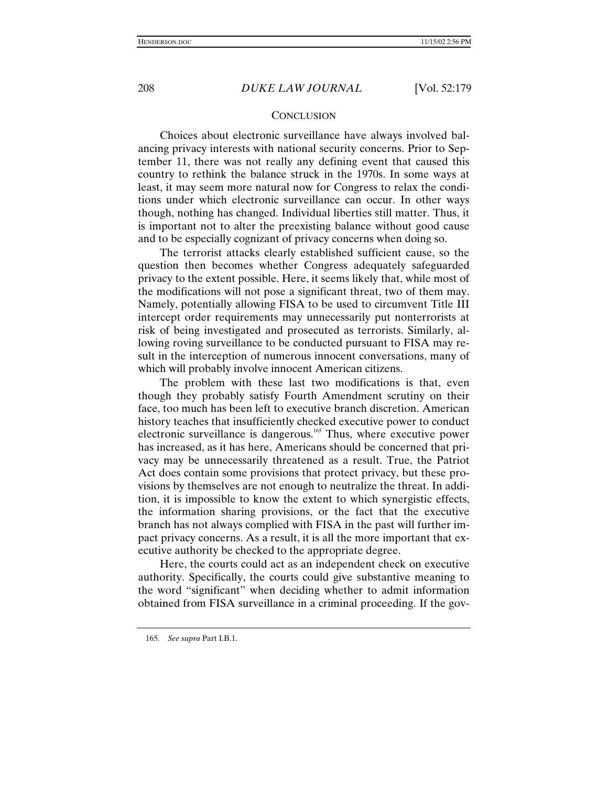#### **CONCLUSION**

Choices about electronic surveillance have always involved balancing privacy interests with national security concerns. Prior to September 11, there was not really any defining event that caused this country to rethink the balance struck in the 1970s. In some ways at least, it may seem more natural now for Congress to relax the conditions under which electronic surveillance can occur. In other ways though, nothing has changed. Individual liberties still matter. Thus, it is important not to alter the preexisting balance without good cause and to be especially cognizant of privacy concerns when doing so.

The terrorist attacks clearly established sufficient cause, so the question then becomes whether Congress adequately safeguarded privacy to the extent possible. Here, it seems likely that, while most of the modifications will not pose a significant threat, two of them may. Namely, potentially allowing FISA to be used to circumvent Title III intercept order requirements may unnecessarily put nonterrorists at risk of being investigated and prosecuted as terrorists. Similarly, allowing roving surveillance to be conducted pursuant to FISA may result in the interception of numerous innocent conversations, many of which will probably involve innocent American citizens.

The problem with these last two modifications is that, even though they probably satisfy Fourth Amendment scrutiny on their face, too much has been left to executive branch discretion. American history teaches that insufficiently checked executive power to conduct electronic surveillance is dangerous.<sup>165</sup> Thus, where executive power has increased, as it has here, Americans should be concerned that privacy may be unnecessarily threatened as a result. True, the Patriot Act does contain some provisions that protect privacy, but these provisions by themselves are not enough to neutralize the threat. In addition, it is impossible to know the extent to which synergistic effects, the information sharing provisions, or the fact that the executive branch has not always complied with FISA in the past will further impact privacy concerns. As a result, it is all the more important that executive authority be checked to the appropriate degree.

Here, the courts could act as an independent check on executive authority. Specifically, the courts could give substantive meaning to the word "significant" when deciding whether to admit information obtained from FISA surveillance in a criminal proceeding. If the gov-

<sup>165</sup>*. See supra* Part I.B.1.